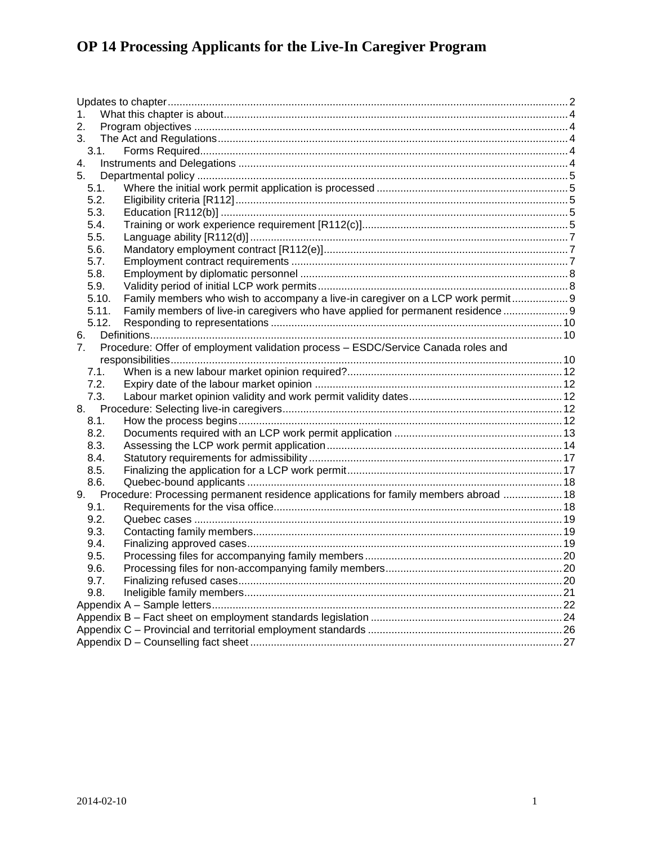| 1.    |                                                                                         |             |
|-------|-----------------------------------------------------------------------------------------|-------------|
| 2.    |                                                                                         |             |
| 3.    |                                                                                         |             |
| 3.1.  |                                                                                         |             |
| 4.    |                                                                                         |             |
| 5.    |                                                                                         |             |
| 5.1.  |                                                                                         |             |
| 5.2.  |                                                                                         |             |
| 5.3.  |                                                                                         |             |
| 5.4.  |                                                                                         |             |
| 5.5.  |                                                                                         |             |
| 5.6.  |                                                                                         |             |
| 5.7.  |                                                                                         |             |
| 5.8.  |                                                                                         |             |
| 5.9.  |                                                                                         |             |
| 5.10. | Family members who wish to accompany a live-in caregiver on a LCP work permit 9         |             |
| 5.11. | Family members of live-in caregivers who have applied for permanent residence  9        |             |
| 5.12. |                                                                                         |             |
| 6.    |                                                                                         |             |
| 7.    | Procedure: Offer of employment validation process - ESDC/Service Canada roles and       |             |
|       |                                                                                         |             |
| 7.1.  |                                                                                         |             |
| 7.2.  |                                                                                         |             |
| 7.3.  |                                                                                         |             |
|       |                                                                                         |             |
| 8.1.  |                                                                                         |             |
| 8.2.  |                                                                                         |             |
| 8.3.  |                                                                                         |             |
| 8.4.  |                                                                                         |             |
| 8.5.  |                                                                                         |             |
| 8.6.  |                                                                                         |             |
|       | 9. Procedure: Processing permanent residence applications for family members abroad  18 |             |
| 9.1.  |                                                                                         |             |
| 9.2.  |                                                                                         |             |
| 9.3.  |                                                                                         |             |
| 9.4.  |                                                                                         |             |
| 9.5.  |                                                                                         |             |
| 9.6.  | Processing files for non-accompanying family members.                                   | $\ldots$ 20 |
| 9.7.  |                                                                                         |             |
| 9.8.  |                                                                                         |             |
|       |                                                                                         |             |
|       |                                                                                         |             |
|       |                                                                                         |             |
|       |                                                                                         |             |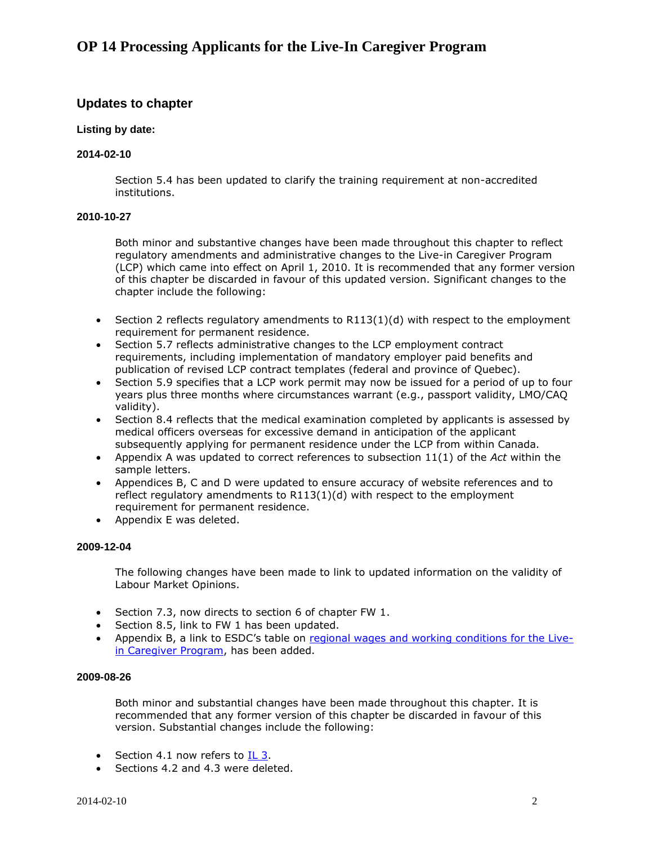### <span id="page-1-0"></span>**Updates to chapter**

### **Listing by date:**

#### **2014-02-10**

Section 5.4 has been updated to clarify the training requirement at non-accredited institutions.

### **2010-10-27**

Both minor and substantive changes have been made throughout this chapter to reflect regulatory amendments and administrative changes to the Live-in Caregiver Program (LCP) which came into effect on April 1, 2010. It is recommended that any former version of this chapter be discarded in favour of this updated version. Significant changes to the chapter include the following:

- $\bullet$  Section 2 reflects regulatory amendments to R113(1)(d) with respect to the employment requirement for permanent residence.
- Section 5.7 reflects administrative changes to the LCP employment contract requirements, including implementation of mandatory employer paid benefits and publication of revised LCP contract templates (federal and province of Quebec).
- Section 5.9 specifies that a LCP work permit may now be issued for a period of up to four years plus three months where circumstances warrant (e.g., passport validity, LMO/CAQ validity).
- Section 8.4 reflects that the medical examination completed by applicants is assessed by medical officers overseas for excessive demand in anticipation of the applicant subsequently applying for permanent residence under the LCP from within Canada.
- Appendix A was updated to correct references to subsection 11(1) of the *Act* within the sample letters.
- Appendices B, C and D were updated to ensure accuracy of website references and to reflect regulatory amendments to R113(1)(d) with respect to the employment requirement for permanent residence.
- Appendix E was deleted.

#### **2009-12-04**

The following changes have been made to link to updated information on the validity of Labour Market Opinions.

- Section 7.3, now directs to section 6 of chapter FW 1.
- Section 8.5, link to FW 1 has been updated.
- Appendix B, a link to ESDC's table on [regional wages and working conditions for the Live](http://www.hrsdc.gc.ca/eng/workplaceskills/foreign_workers/advertReq/wageadreq.shtml#tphp)[in Caregiver Program,](http://www.hrsdc.gc.ca/eng/workplaceskills/foreign_workers/advertReq/wageadreq.shtml#tphp) has been added.

#### **2009-08-26**

Both minor and substantial changes have been made throughout this chapter. It is recommended that any former version of this chapter be discarded in favour of this version. Substantial changes include the following:

- Section 4.1 now refers to [IL 3.](http://www.cic.gc.ca/english/resources/manuals/il/il03-menu.asp)
- Sections 4.2 and 4.3 were deleted.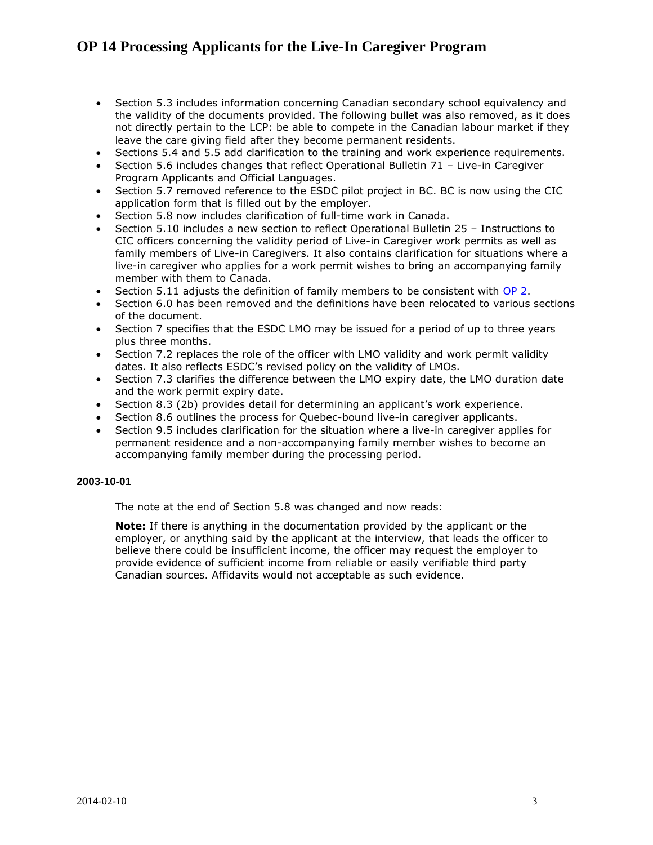- Section 5.3 includes information concerning Canadian secondary school equivalency and the validity of the documents provided. The following bullet was also removed, as it does not directly pertain to the LCP: be able to compete in the Canadian labour market if they leave the care giving field after they become permanent residents.
- Sections 5.4 and 5.5 add clarification to the training and work experience requirements.
- Section 5.6 includes changes that reflect Operational Bulletin 71 Live-in Caregiver Program Applicants and Official Languages.
- Section 5.7 removed reference to the ESDC pilot project in BC. BC is now using the CIC application form that is filled out by the employer.
- Section 5.8 now includes clarification of full-time work in Canada.
- Section 5.10 includes a new section to reflect Operational Bulletin 25 Instructions to CIC officers concerning the validity period of Live-in Caregiver work permits as well as family members of Live-in Caregivers. It also contains clarification for situations where a live-in caregiver who applies for a work permit wishes to bring an accompanying family member with them to Canada.
- Section 5.11 adjusts the definition of family members to be consistent with [OP 2.](http://www.cic.gc.ca/english/resources/manuals/op/op02-eng.pdf)
- Section 6.0 has been removed and the definitions have been relocated to various sections of the document.
- Section 7 specifies that the ESDC LMO may be issued for a period of up to three years plus three months.
- Section 7.2 replaces the role of the officer with LMO validity and work permit validity dates. It also reflects ESDC's revised policy on the validity of LMOs.
- Section 7.3 clarifies the difference between the LMO expiry date, the LMO duration date and the work permit expiry date.
- Section 8.3 (2b) provides detail for determining an applicant's work experience.
- Section 8.6 outlines the process for Quebec-bound live-in caregiver applicants.
- Section 9.5 includes clarification for the situation where a live-in caregiver applies for permanent residence and a non-accompanying family member wishes to become an accompanying family member during the processing period.

### **2003-10-01**

The note at the end of Section 5.8 was changed and now reads:

**Note:** If there is anything in the documentation provided by the applicant or the employer, or anything said by the applicant at the interview, that leads the officer to believe there could be insufficient income, the officer may request the employer to provide evidence of sufficient income from reliable or easily verifiable third party Canadian sources. Affidavits would not acceptable as such evidence.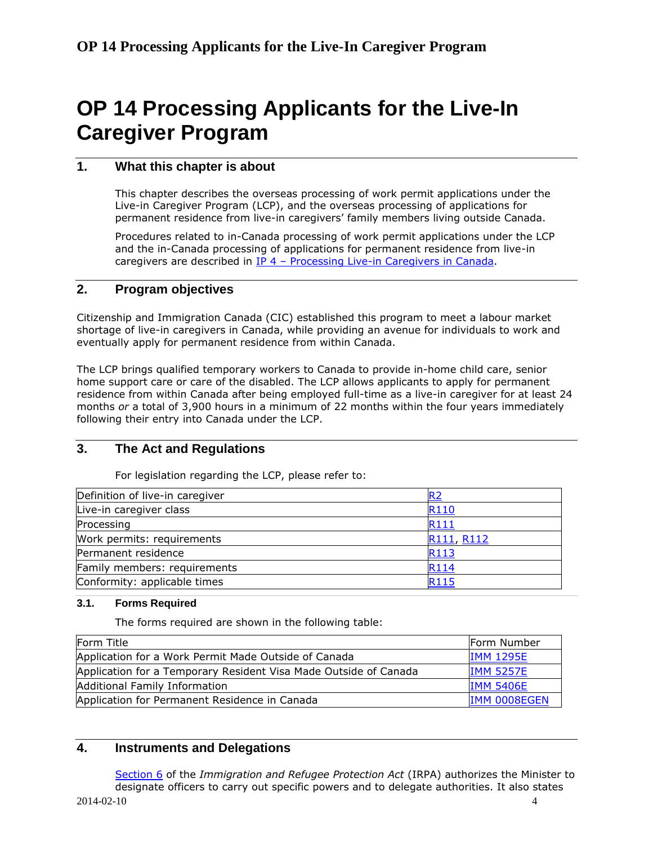### <span id="page-3-0"></span>**1. What this chapter is about**

This chapter describes the overseas processing of work permit applications under the Live-in Caregiver Program (LCP), and the overseas processing of applications for permanent residence from live-in caregivers' family members living outside Canada.

Procedures related to in-Canada processing of work permit applications under the LCP and the in-Canada processing of applications for permanent residence from live-in caregivers are described in IP 4 – [Processing Live-in Caregivers in Canada.](http://www.cic.gc.ca/english/resources/manuals/ip/ip04-eng.pdf)

### <span id="page-3-1"></span>**2. Program objectives**

Citizenship and Immigration Canada (CIC) established this program to meet a labour market shortage of live-in caregivers in Canada, while providing an avenue for individuals to work and eventually apply for permanent residence from within Canada.

The LCP brings qualified temporary workers to Canada to provide in-home child care, senior home support care or care of the disabled. The LCP allows applicants to apply for permanent residence from within Canada after being employed full-time as a live-in caregiver for at least 24 months *or* a total of 3,900 hours in a minimum of 22 months within the four years immediately following their entry into Canada under the LCP.

### <span id="page-3-2"></span>**3. The Act and Regulations**

For legislation regarding the LCP, please refer to:

| Definition of live-in caregiver |            |
|---------------------------------|------------|
| Live-in caregiver class         | R110       |
| Processing                      | R111       |
| Work permits: requirements      | R111, R112 |
| Permanent residence             | R113       |
| Family members: requirements    | R114       |
| Conformity: applicable times    | R115       |

### <span id="page-3-3"></span>**3.1. Forms Required**

The forms required are shown in the following table:

| Form Title                                                       | Form Number      |
|------------------------------------------------------------------|------------------|
| Application for a Work Permit Made Outside of Canada             | <b>IMM 1295E</b> |
| Application for a Temporary Resident Visa Made Outside of Canada | <b>IMM 5257E</b> |
| Additional Family Information                                    | <b>IMM 5406E</b> |
| Application for Permanent Residence in Canada                    | IMM 0008EGEN     |

### <span id="page-3-4"></span>**4. Instruments and Delegations**

[Section](http://laws-lois.justice.gc.ca/eng/regulations/SOR-2002-227/section-6.html) 6 of the *Immigration and Refugee Protection Act* (IRPA) authorizes the Minister to designate officers to carry out specific powers and to delegate authorities. It also states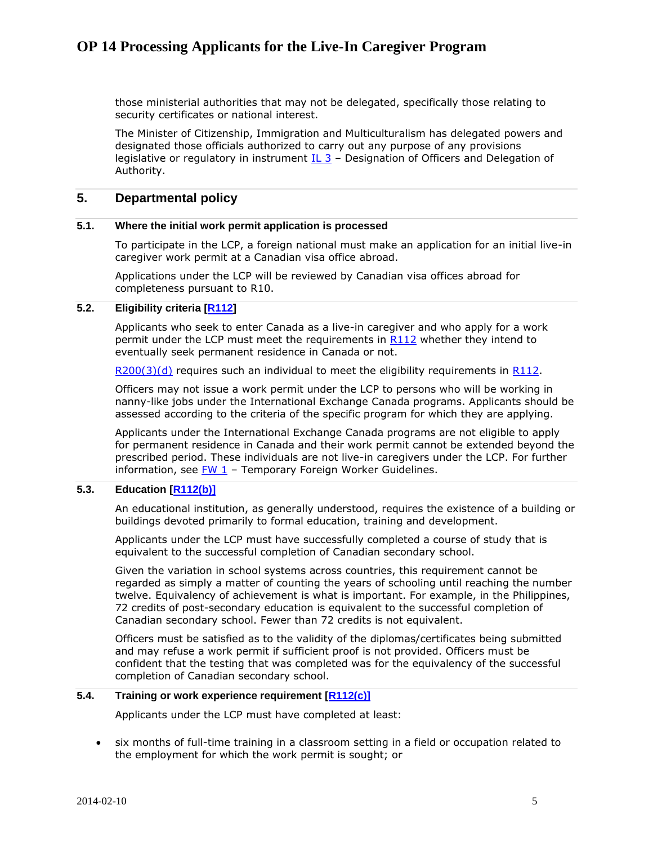those ministerial authorities that may not be delegated, specifically those relating to security certificates or national interest.

The Minister of Citizenship, Immigration and Multiculturalism has delegated powers and designated those officials authorized to carry out any purpose of any provisions legislative or regulatory in instrument  $IL 3 -$  Designation of Officers and Delegation of Authority.

### <span id="page-4-0"></span>**5. Departmental policy**

### <span id="page-4-1"></span>**5.1. Where the initial work permit application is processed**

To participate in the LCP, a foreign national must make an application for an initial live-in caregiver work permit at a Canadian visa office abroad.

Applications under the LCP will be reviewed by Canadian visa offices abroad for completeness pursuant to R10.

### <span id="page-4-2"></span>**5.2. Eligibility criteria [\[R112\]](http://laws-lois.justice.gc.ca/eng/regulations/SOR-2002-227/section-112.html)**

Applicants who seek to enter Canada as a live-in caregiver and who apply for a work permit under the LCP must meet the requirements in [R112](http://laws-lois.justice.gc.ca/eng/regulations/SOR-2002-227/section-112.html) whether they intend to eventually seek permanent residence in Canada or not.

 $R200(3)(d)$  requires such an individual to meet the eligibility requirements in [R112.](http://laws-lois.justice.gc.ca/eng/regulations/SOR-2002-227/section-112.html)

Officers may not issue a work permit under the LCP to persons who will be working in nanny-like jobs under the International Exchange Canada programs. Applicants should be assessed according to the criteria of the specific program for which they are applying.

Applicants under the International Exchange Canada programs are not eligible to apply for permanent residence in Canada and their work permit cannot be extended beyond the prescribed period. These individuals are not live-in caregivers under the LCP. For further information, see  $FW_1$  – Temporary Foreign Worker Guidelines.

### <span id="page-4-3"></span>**5.3. Education [\[R112\(b\)\]](http://laws-lois.justice.gc.ca/eng/regulations/SOR-2002-227/section-112.html)**

An educational institution, as generally understood, requires the existence of a building or buildings devoted primarily to formal education, training and development.

Applicants under the LCP must have successfully completed a course of study that is equivalent to the successful completion of Canadian secondary school.

Given the variation in school systems across countries, this requirement cannot be regarded as simply a matter of counting the years of schooling until reaching the number twelve. Equivalency of achievement is what is important. For example, in the Philippines, 72 credits of post-secondary education is equivalent to the successful completion of Canadian secondary school. Fewer than 72 credits is not equivalent.

Officers must be satisfied as to the validity of the diplomas/certificates being submitted and may refuse a work permit if sufficient proof is not provided. Officers must be confident that the testing that was completed was for the equivalency of the successful completion of Canadian secondary school.

#### <span id="page-4-4"></span>**5.4. Training or work experience requirement [\[R112\(c\)\]](http://laws-lois.justice.gc.ca/eng/regulations/SOR-2002-227/section-112.html)**

Applicants under the LCP must have completed at least:

 six months of full-time training in a classroom setting in a field or occupation related to the employment for which the work permit is sought; or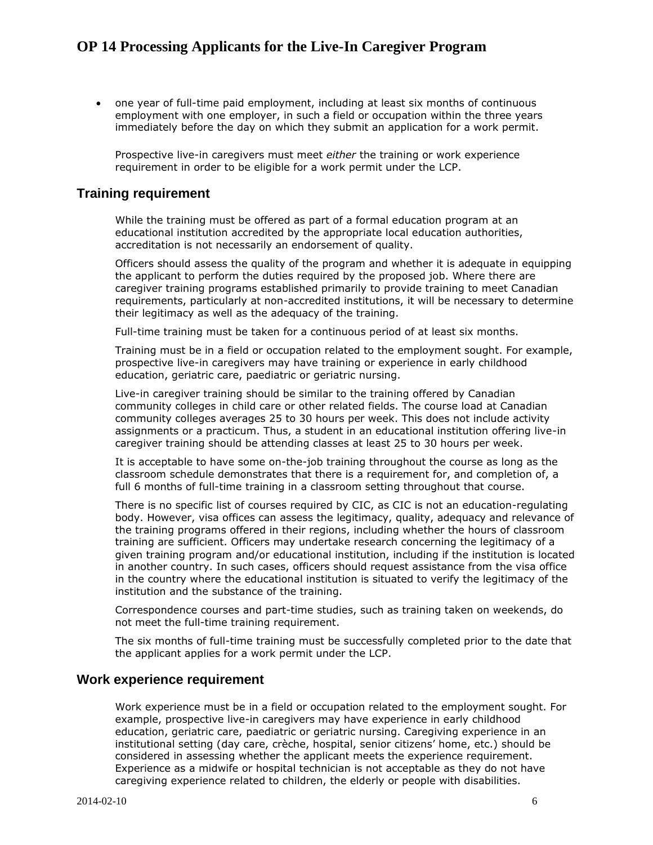one year of full-time paid employment, including at least six months of continuous employment with one employer, in such a field or occupation within the three years immediately before the day on which they submit an application for a work permit.

Prospective live-in caregivers must meet *either* the training or work experience requirement in order to be eligible for a work permit under the LCP.

### **Training requirement**

While the training must be offered as part of a formal education program at an educational institution accredited by the appropriate local education authorities, accreditation is not necessarily an endorsement of quality.

Officers should assess the quality of the program and whether it is adequate in equipping the applicant to perform the duties required by the proposed job. Where there are caregiver training programs established primarily to provide training to meet Canadian requirements, particularly at non-accredited institutions, it will be necessary to determine their legitimacy as well as the adequacy of the training.

Full-time training must be taken for a continuous period of at least six months.

Training must be in a field or occupation related to the employment sought. For example, prospective live-in caregivers may have training or experience in early childhood education, geriatric care, paediatric or geriatric nursing.

Live-in caregiver training should be similar to the training offered by Canadian community colleges in child care or other related fields. The course load at Canadian community colleges averages 25 to 30 hours per week. This does not include activity assignments or a practicum. Thus, a student in an educational institution offering live-in caregiver training should be attending classes at least 25 to 30 hours per week.

It is acceptable to have some on-the-job training throughout the course as long as the classroom schedule demonstrates that there is a requirement for, and completion of, a full 6 months of full-time training in a classroom setting throughout that course.

There is no specific list of courses required by CIC, as CIC is not an education-regulating body. However, visa offices can assess the legitimacy, quality, adequacy and relevance of the training programs offered in their regions, including whether the hours of classroom training are sufficient. Officers may undertake research concerning the legitimacy of a given training program and/or educational institution, including if the institution is located in another country. In such cases, officers should request assistance from the visa office in the country where the educational institution is situated to verify the legitimacy of the institution and the substance of the training.

Correspondence courses and part-time studies, such as training taken on weekends, do not meet the full-time training requirement.

The six months of full-time training must be successfully completed prior to the date that the applicant applies for a work permit under the LCP.

### **Work experience requirement**

Work experience must be in a field or occupation related to the employment sought. For example, prospective live-in caregivers may have experience in early childhood education, geriatric care, paediatric or geriatric nursing. Caregiving experience in an institutional setting (day care, crèche, hospital, senior citizens' home, etc.) should be considered in assessing whether the applicant meets the experience requirement. Experience as a midwife or hospital technician is not acceptable as they do not have caregiving experience related to children, the elderly or people with disabilities.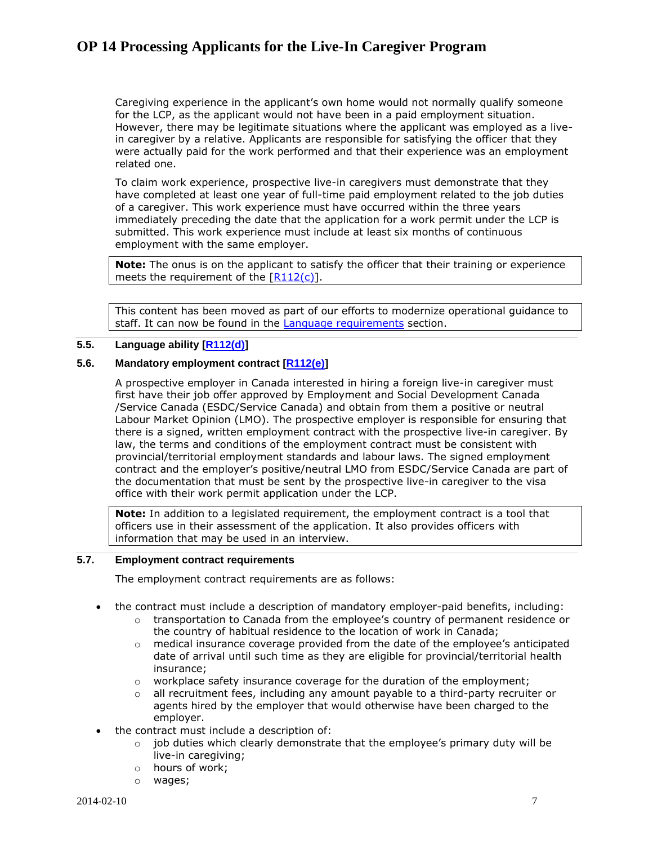Caregiving experience in the applicant's own home would not normally qualify someone for the LCP, as the applicant would not have been in a paid employment situation. However, there may be legitimate situations where the applicant was employed as a livein caregiver by a relative. Applicants are responsible for satisfying the officer that they were actually paid for the work performed and that their experience was an employment related one.

To claim work experience, prospective live-in caregivers must demonstrate that they have completed at least one year of full-time paid employment related to the job duties of a caregiver. This work experience must have occurred within the three years immediately preceding the date that the application for a work permit under the LCP is submitted. This work experience must include at least six months of continuous employment with the same employer.

**Note:** The onus is on the applicant to satisfy the officer that their training or experience meets the requirement of the  $[R112(c)]$ .

This content has been moved as part of our efforts to modernize operational guidance to staff. It can now be found in the [Language requirements](http://www.cic.gc.ca/english/resources/tools/language/index.asp) section.

#### <span id="page-6-0"></span>**5.5. Language ability [\[R112\(d\)\]](http://laws-lois.justice.gc.ca/eng/regulations/SOR-2002-227/section-112.html)**

### <span id="page-6-1"></span>**5.6. Mandatory employment contract [\[R112\(e\)\]](http://laws-lois.justice.gc.ca/eng/regulations/SOR-2002-227/section-112.html)**

A prospective employer in Canada interested in hiring a foreign live-in caregiver must first have their job offer approved by Employment and Social Development Canada /Service Canada (ESDC/Service Canada) and obtain from them a positive or neutral Labour Market Opinion (LMO). The prospective employer is responsible for ensuring that there is a signed, written employment contract with the prospective live-in caregiver. By law, the terms and conditions of the employment contract must be consistent with provincial/territorial employment standards and labour laws. The signed employment contract and the employer's positive/neutral LMO from ESDC/Service Canada are part of the documentation that must be sent by the prospective live-in caregiver to the visa office with their work permit application under the LCP.

**Note:** In addition to a legislated requirement, the employment contract is a tool that officers use in their assessment of the application. It also provides officers with information that may be used in an interview.

### <span id="page-6-2"></span>**5.7. Employment contract requirements**

The employment contract requirements are as follows:

- the contract must include a description of mandatory employer-paid benefits, including:
	- $\circ$  transportation to Canada from the employee's country of permanent residence or the country of habitual residence to the location of work in Canada;
	- $\circ$  medical insurance coverage provided from the date of the employee's anticipated date of arrival until such time as they are eligible for provincial/territorial health insurance;
	- o workplace safety insurance coverage for the duration of the employment;
	- $\circ$  all recruitment fees, including any amount payable to a third-party recruiter or agents hired by the employer that would otherwise have been charged to the employer.
- the contract must include a description of:
	- $\circ$  job duties which clearly demonstrate that the employee's primary duty will be live-in caregiving;
	- o hours of work;
	- o wages;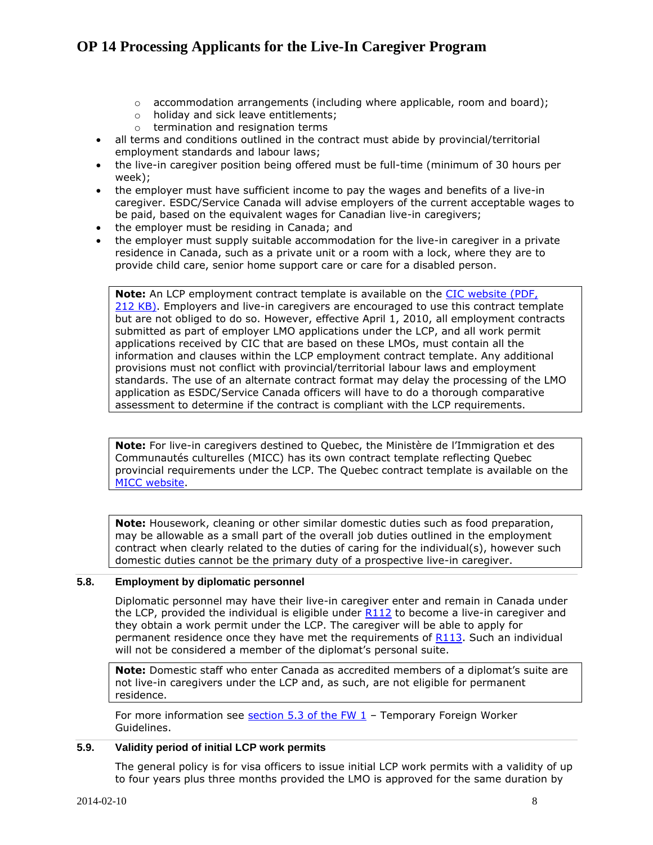- $\circ$  accommodation arrangements (including where applicable, room and board);
- o holiday and sick leave entitlements;
- $\circ$  termination and resignation terms
- all terms and conditions outlined in the contract must abide by provincial/territorial employment standards and labour laws;
- the live-in caregiver position being offered must be full-time (minimum of 30 hours per week);
- the employer must have sufficient income to pay the wages and benefits of a live-in caregiver. ESDC/Service Canada will advise employers of the current acceptable wages to be paid, based on the equivalent wages for Canadian live-in caregivers;
- the employer must be residing in Canada; and
- the employer must supply suitable accommodation for the live-in caregiver in a private residence in Canada, such as a private unit or a room with a lock, where they are to provide child care, senior home support care or care for a disabled person.

**Note:** An LCP employment contract template is available on the CIC website (PDF, 212 [KB\).](http://www.cic.gc.ca/english/pdf/pub/LCP-sample_contract.pdf) Employers and live-in caregivers are encouraged to use this contract template but are not obliged to do so. However, effective April 1, 2010, all employment contracts submitted as part of employer LMO applications under the LCP, and all work permit applications received by CIC that are based on these LMOs, must contain all the information and clauses within the LCP employment contract template. Any additional provisions must not conflict with provincial/territorial labour laws and employment standards. The use of an alternate contract format may delay the processing of the LMO application as ESDC/Service Canada officers will have to do a thorough comparative assessment to determine if the contract is compliant with the LCP requirements.

**Note:** For live-in caregivers destined to Quebec, the Ministère de l'Immigration et des Communautés culturelles (MICC) has its own contract template reflecting Quebec provincial requirements under the LCP. The Quebec contract template is available on the [MICC website.](http://www.immigration-quebec.gouv.qc.ca/en/forms/search-title/employment-contract.html)

**Note:** Housework, cleaning or other similar domestic duties such as food preparation, may be allowable as a small part of the overall job duties outlined in the employment contract when clearly related to the duties of caring for the individual(s), however such domestic duties cannot be the primary duty of a prospective live-in caregiver.

### <span id="page-7-0"></span>**5.8. Employment by diplomatic personnel**

Diplomatic personnel may have their live-in caregiver enter and remain in Canada under the LCP, provided the individual is eligible under  $R112$  to become a live-in caregiver and they obtain a work permit under the LCP. The caregiver will be able to apply for permanent residence once they have met the requirements of [R113.](http://laws-lois.justice.gc.ca/eng/regulations/SOR-2002-227/section-113.html) Such an individual will not be considered a member of the diplomat's personal suite.

**Note:** Domestic staff who enter Canada as accredited members of a diplomat's suite are not live-in caregivers under the LCP and, as such, are not eligible for permanent residence.

For more information see section  $5.3$  of the FW  $1$  – Temporary Foreign Worker Guidelines.

#### <span id="page-7-1"></span>**5.9. Validity period of initial LCP work permits**

The general policy is for visa officers to issue initial LCP work permits with a validity of up to four years plus three months provided the LMO is approved for the same duration by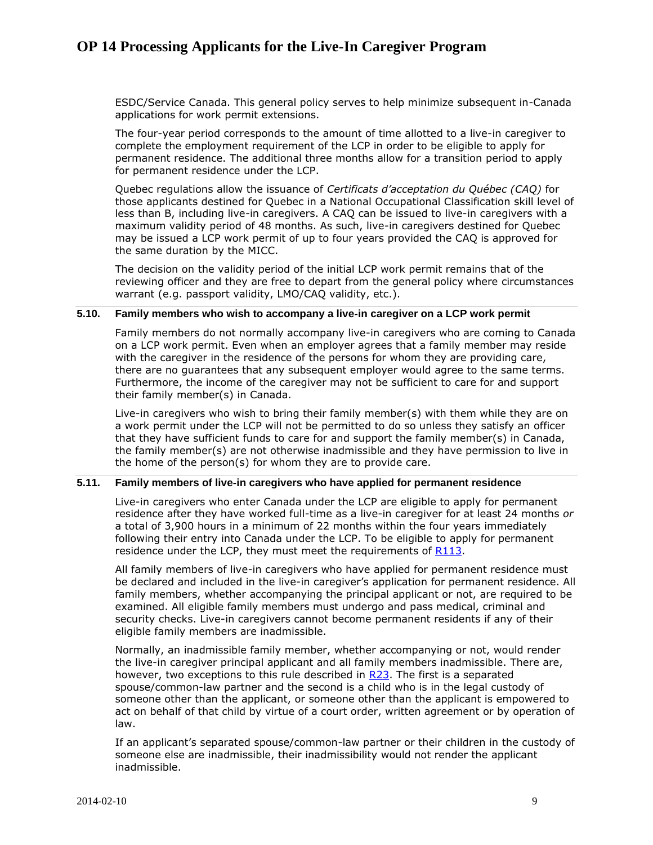ESDC/Service Canada. This general policy serves to help minimize subsequent in-Canada applications for work permit extensions.

The four-year period corresponds to the amount of time allotted to a live-in caregiver to complete the employment requirement of the LCP in order to be eligible to apply for permanent residence. The additional three months allow for a transition period to apply for permanent residence under the LCP.

Quebec regulations allow the issuance of *Certificats d'acceptation du Québec (CAQ)* for those applicants destined for Quebec in a National Occupational Classification skill level of less than B, including live-in caregivers. A CAQ can be issued to live-in caregivers with a maximum validity period of 48 months. As such, live-in caregivers destined for Quebec may be issued a LCP work permit of up to four years provided the CAQ is approved for the same duration by the MICC.

The decision on the validity period of the initial LCP work permit remains that of the reviewing officer and they are free to depart from the general policy where circumstances warrant (e.g. passport validity, LMO/CAQ validity, etc.).

### <span id="page-8-0"></span>**5.10. Family members who wish to accompany a live-in caregiver on a LCP work permit**

Family members do not normally accompany live-in caregivers who are coming to Canada on a LCP work permit. Even when an employer agrees that a family member may reside with the caregiver in the residence of the persons for whom they are providing care, there are no guarantees that any subsequent employer would agree to the same terms. Furthermore, the income of the caregiver may not be sufficient to care for and support their family member(s) in Canada.

Live-in caregivers who wish to bring their family member(s) with them while they are on a work permit under the LCP will not be permitted to do so unless they satisfy an officer that they have sufficient funds to care for and support the family member(s) in Canada, the family member(s) are not otherwise inadmissible and they have permission to live in the home of the person(s) for whom they are to provide care.

### <span id="page-8-1"></span>**5.11. Family members of live-in caregivers who have applied for permanent residence**

Live-in caregivers who enter Canada under the LCP are eligible to apply for permanent residence after they have worked full-time as a live-in caregiver for at least 24 months *or* a total of 3,900 hours in a minimum of 22 months within the four years immediately following their entry into Canada under the LCP. To be eligible to apply for permanent residence under the LCP, they must meet the requirements of [R113.](http://laws-lois.justice.gc.ca/eng/regulations/SOR-2002-227/section-113.html)

All family members of live-in caregivers who have applied for permanent residence must be declared and included in the live-in caregiver's application for permanent residence. All family members, whether accompanying the principal applicant or not, are required to be examined. All eligible family members must undergo and pass medical, criminal and security checks. Live-in caregivers cannot become permanent residents if any of their eligible family members are inadmissible.

Normally, an inadmissible family member, whether accompanying or not, would render the live-in caregiver principal applicant and all family members inadmissible. There are, however, two exceptions to this rule described in [R23.](http://laws-lois.justice.gc.ca/eng/regulations/SOR-2002-227/section-23.html) The first is a separated spouse/common-law partner and the second is a child who is in the legal custody of someone other than the applicant, or someone other than the applicant is empowered to act on behalf of that child by virtue of a court order, written agreement or by operation of law.

If an applicant's separated spouse/common-law partner or their children in the custody of someone else are inadmissible, their inadmissibility would not render the applicant inadmissible.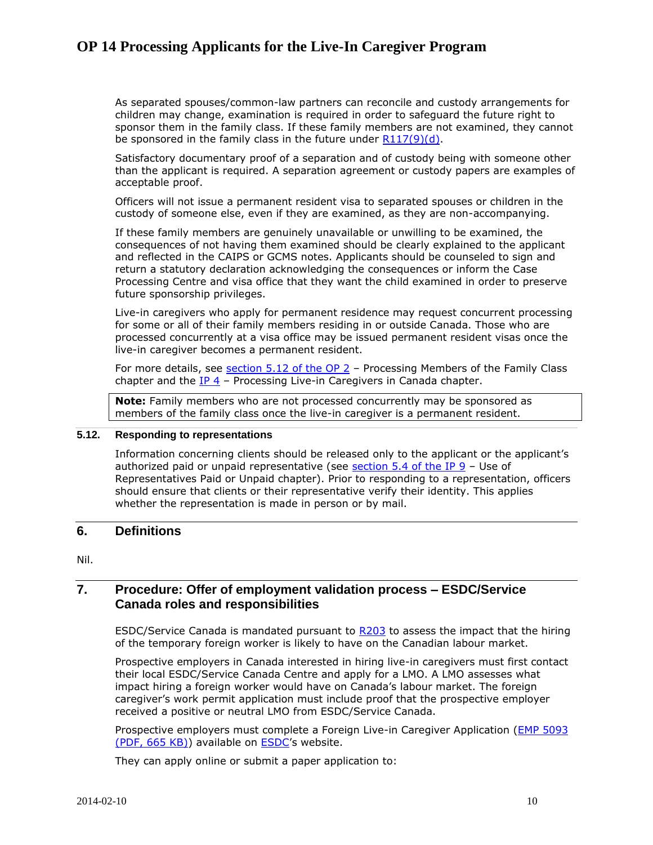As separated spouses/common-law partners can reconcile and custody arrangements for children may change, examination is required in order to safeguard the future right to sponsor them in the family class. If these family members are not examined, they cannot be sponsored in the family class in the future under [R117\(9\)\(d\).](http://laws-lois.justice.gc.ca/eng/regulations/SOR-2002-227/section-117.html)

Satisfactory documentary proof of a separation and of custody being with someone other than the applicant is required. A separation agreement or custody papers are examples of acceptable proof.

Officers will not issue a permanent resident visa to separated spouses or children in the custody of someone else, even if they are examined, as they are non-accompanying.

If these family members are genuinely unavailable or unwilling to be examined, the consequences of not having them examined should be clearly explained to the applicant and reflected in the CAIPS or GCMS notes. Applicants should be counseled to sign and return a statutory declaration acknowledging the consequences or inform the Case Processing Centre and visa office that they want the child examined in order to preserve future sponsorship privileges.

Live-in caregivers who apply for permanent residence may request concurrent processing for some or all of their family members residing in or outside Canada. Those who are processed concurrently at a visa office may be issued permanent resident visas once the live-in caregiver becomes a permanent resident.

For more details, see section [5.12 of the OP 2](http://www.cic.gc.ca/english/resources/manuals/op/op02-eng.pdf) – Processing Members of the Family Class chapter and the  $IP 4$  – Processing Live-in Caregivers in Canada chapter.

**Note:** Family members who are not processed concurrently may be sponsored as members of the family class once the live-in caregiver is a permanent resident.

### <span id="page-9-0"></span>**5.12. Responding to representations**

Information concerning clients should be released only to the applicant or the applicant's authorized paid or unpaid representative (see section [5.4 of the IP](http://www.cic.gc.ca/english/resources/manuals/ip/ip09-eng.pdf) 9 – Use of Representatives Paid or Unpaid chapter). Prior to responding to a representation, officers should ensure that clients or their representative verify their identity. This applies whether the representation is made in person or by mail.

### <span id="page-9-1"></span>**6. Definitions**

Nil.

### <span id="page-9-2"></span>**7. Procedure: Offer of employment validation process – ESDC/Service Canada roles and responsibilities**

ESDC/Service Canada is mandated pursuant to [R203](http://laws-lois.justice.gc.ca/eng/regulations/SOR-2002-227/section-203.html) to assess the impact that the hiring of the temporary foreign worker is likely to have on the Canadian labour market.

Prospective employers in Canada interested in hiring live-in caregivers must first contact their local ESDC/Service Canada Centre and apply for a LMO. A LMO assesses what impact hiring a foreign worker would have on Canada's labour market. The foreign caregiver's work permit application must include proof that the prospective employer received a positive or neutral LMO from ESDC/Service Canada.

Prospective employers must complete a Foreign Live-in Caregiver Application (EMP [5093](http://www.servicecanada.gc.ca/eforms/forms/esdc-emp5093(2013-12-019)e.pdf)  [\(PDF, 665](http://www.servicecanada.gc.ca/eforms/forms/esdc-emp5093(2013-12-019)e.pdf) KB)) available on [ESDC](http://www.esdc.gc.ca/eng/home.shtml)'s website.

They can apply online or submit a paper application to: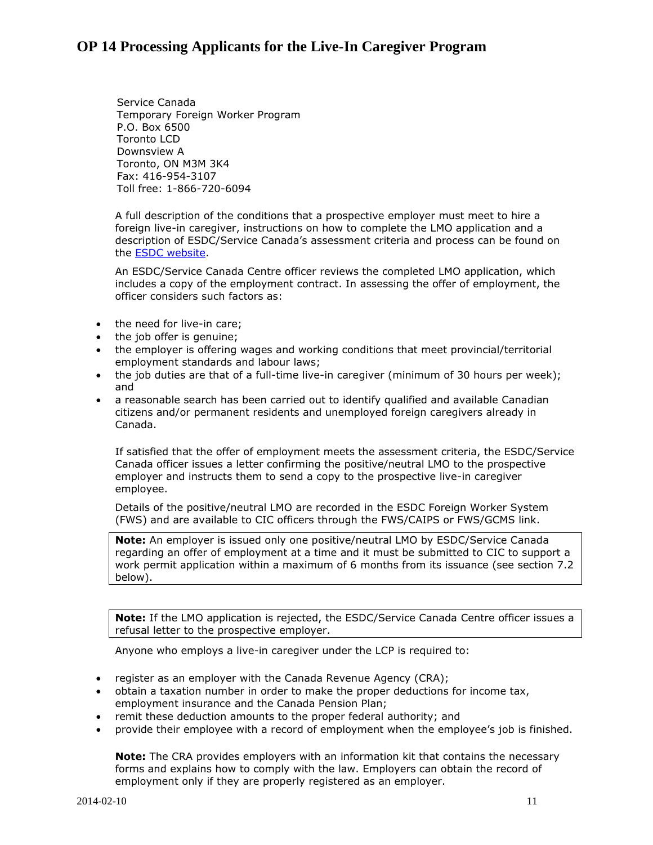Service Canada Temporary Foreign Worker Program P.O. Box 6500 Toronto LCD Downsview A Toronto, ON M3M 3K4 Fax: 416-954-3107 Toll free: 1-866-720-6094

A full description of the conditions that a prospective employer must meet to hire a foreign live-in caregiver, instructions on how to complete the LMO application and a description of ESDC/Service Canada's assessment criteria and process can be found on the [ESDC website.](http://www.esdc.gc.ca/eng/home.shtml)

An ESDC/Service Canada Centre officer reviews the completed LMO application, which includes a copy of the employment contract. In assessing the offer of employment, the officer considers such factors as:

- the need for live-in care;
- the job offer is genuine;
- the employer is offering wages and working conditions that meet provincial/territorial employment standards and labour laws;
- the job duties are that of a full-time live-in caregiver (minimum of 30 hours per week); and
- a reasonable search has been carried out to identify qualified and available Canadian citizens and/or permanent residents and unemployed foreign caregivers already in Canada.

If satisfied that the offer of employment meets the assessment criteria, the ESDC/Service Canada officer issues a letter confirming the positive/neutral LMO to the prospective employer and instructs them to send a copy to the prospective live-in caregiver employee.

Details of the positive/neutral LMO are recorded in the ESDC Foreign Worker System (FWS) and are available to CIC officers through the FWS/CAIPS or FWS/GCMS link.

**Note:** An employer is issued only one positive/neutral LMO by ESDC/Service Canada regarding an offer of employment at a time and it must be submitted to CIC to support a work permit application within a maximum of 6 months from its issuance (see section 7.2 below).

**Note:** If the LMO application is rejected, the ESDC/Service Canada Centre officer issues a refusal letter to the prospective employer.

Anyone who employs a live-in caregiver under the LCP is required to:

- register as an employer with the Canada Revenue Agency (CRA);
- obtain a taxation number in order to make the proper deductions for income tax, employment insurance and the Canada Pension Plan;
- remit these deduction amounts to the proper federal authority; and
- provide their employee with a record of employment when the employee's job is finished.

**Note:** The CRA provides employers with an information kit that contains the necessary forms and explains how to comply with the law. Employers can obtain the record of employment only if they are properly registered as an employer.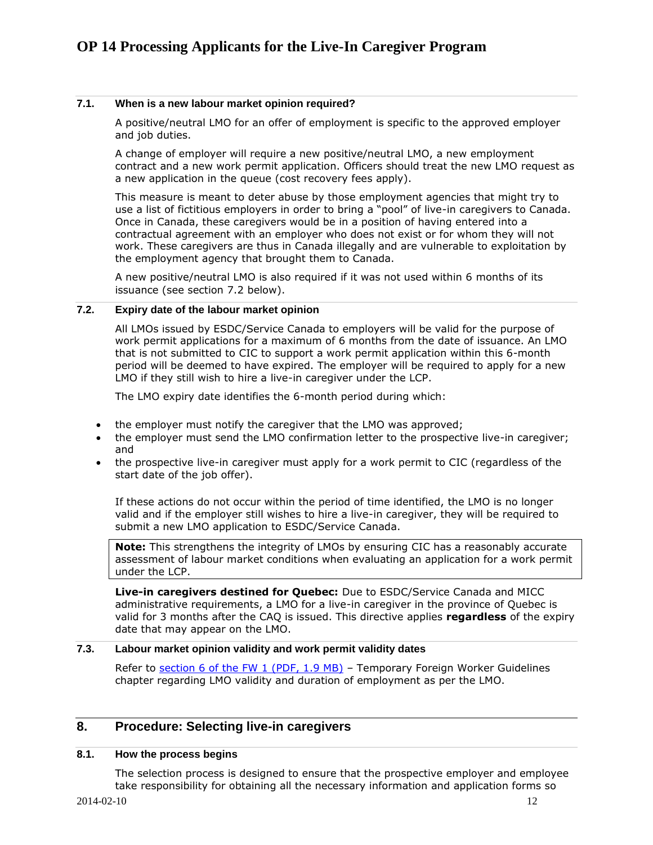### <span id="page-11-0"></span>**7.1. When is a new labour market opinion required?**

A positive/neutral LMO for an offer of employment is specific to the approved employer and job duties.

A change of employer will require a new positive/neutral LMO, a new employment contract and a new work permit application. Officers should treat the new LMO request as a new application in the queue (cost recovery fees apply).

This measure is meant to deter abuse by those employment agencies that might try to use a list of fictitious employers in order to bring a "pool" of live-in caregivers to Canada. Once in Canada, these caregivers would be in a position of having entered into a contractual agreement with an employer who does not exist or for whom they will not work. These caregivers are thus in Canada illegally and are vulnerable to exploitation by the employment agency that brought them to Canada.

A new positive/neutral LMO is also required if it was not used within 6 months of its issuance (see section 7.2 below).

### <span id="page-11-1"></span>**7.2. Expiry date of the labour market opinion**

All LMOs issued by ESDC/Service Canada to employers will be valid for the purpose of work permit applications for a maximum of 6 months from the date of issuance. An LMO that is not submitted to CIC to support a work permit application within this 6-month period will be deemed to have expired. The employer will be required to apply for a new LMO if they still wish to hire a live-in caregiver under the LCP.

The LMO expiry date identifies the 6-month period during which:

- the employer must notify the caregiver that the LMO was approved;
- the employer must send the LMO confirmation letter to the prospective live-in caregiver; and
- the prospective live-in caregiver must apply for a work permit to CIC (regardless of the start date of the job offer).

If these actions do not occur within the period of time identified, the LMO is no longer valid and if the employer still wishes to hire a live-in caregiver, they will be required to submit a new LMO application to ESDC/Service Canada.

**Note:** This strengthens the integrity of LMOs by ensuring CIC has a reasonably accurate assessment of labour market conditions when evaluating an application for a work permit under the LCP.

**Live-in caregivers destined for Quebec:** Due to ESDC/Service Canada and MICC administrative requirements, a LMO for a live-in caregiver in the province of Quebec is valid for 3 months after the CAQ is issued. This directive applies **regardless** of the expiry date that may appear on the LMO.

### <span id="page-11-2"></span>**7.3. Labour market opinion validity and work permit validity dates**

Refer to section [6 of the FW](http://www.cic.gc.ca/english/resources/manuals/fw/fw01-eng.pdf) 1 (PDF, 1.9 MB) – Temporary Foreign Worker Guidelines chapter regarding LMO validity and duration of employment as per the LMO.

### <span id="page-11-3"></span>**8. Procedure: Selecting live-in caregivers**

### <span id="page-11-4"></span>**8.1. How the process begins**

The selection process is designed to ensure that the prospective employer and employee take responsibility for obtaining all the necessary information and application forms so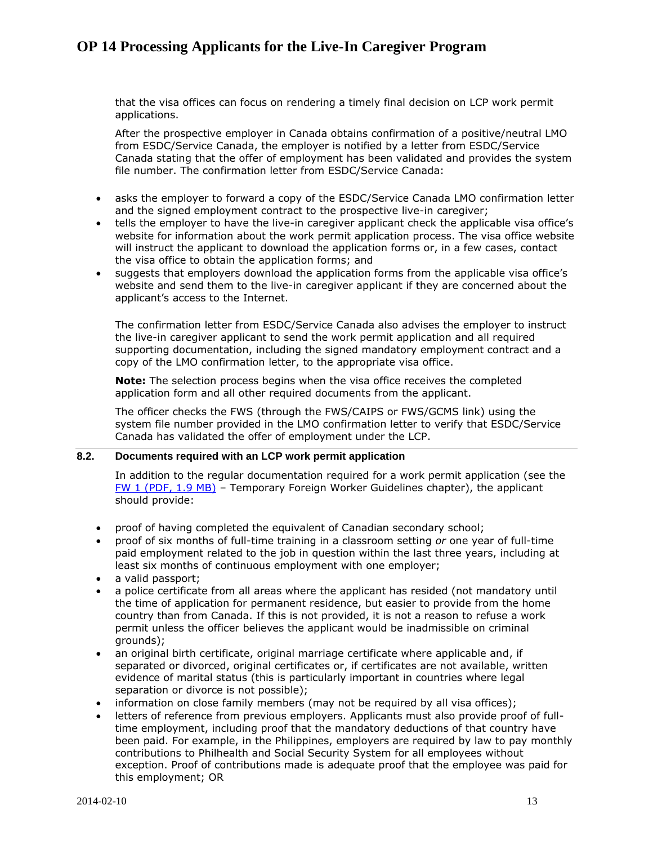that the visa offices can focus on rendering a timely final decision on LCP work permit applications.

After the prospective employer in Canada obtains confirmation of a positive/neutral LMO from ESDC/Service Canada, the employer is notified by a letter from ESDC/Service Canada stating that the offer of employment has been validated and provides the system file number. The confirmation letter from ESDC/Service Canada:

- asks the employer to forward a copy of the ESDC/Service Canada LMO confirmation letter and the signed employment contract to the prospective live-in caregiver;
- tells the employer to have the live-in caregiver applicant check the applicable visa office's website for information about the work permit application process. The visa office website will instruct the applicant to download the application forms or, in a few cases, contact the visa office to obtain the application forms; and
- suggests that employers download the application forms from the applicable visa office's website and send them to the live-in caregiver applicant if they are concerned about the applicant's access to the Internet.

The confirmation letter from ESDC/Service Canada also advises the employer to instruct the live-in caregiver applicant to send the work permit application and all required supporting documentation, including the signed mandatory employment contract and a copy of the LMO confirmation letter, to the appropriate visa office.

**Note:** The selection process begins when the visa office receives the completed application form and all other required documents from the applicant.

The officer checks the FWS (through the FWS/CAIPS or FWS/GCMS link) using the system file number provided in the LMO confirmation letter to verify that ESDC/Service Canada has validated the offer of employment under the LCP.

#### <span id="page-12-0"></span>**8.2. Documents required with an LCP work permit application**

In addition to the regular documentation required for a work permit application (see the FW [1 \(PDF, 1.9](http://www.cic.gc.ca/english/resources/manuals/fw/fw01-eng.pdf) MB) – Temporary Foreign Worker Guidelines chapter), the applicant should provide:

- proof of having completed the equivalent of Canadian secondary school;
- proof of six months of full-time training in a classroom setting *or* one year of full-time paid employment related to the job in question within the last three years, including at least six months of continuous employment with one employer;
- a valid passport:
- a police certificate from all areas where the applicant has resided (not mandatory until the time of application for permanent residence, but easier to provide from the home country than from Canada. If this is not provided, it is not a reason to refuse a work permit unless the officer believes the applicant would be inadmissible on criminal grounds);
- an original birth certificate, original marriage certificate where applicable and, if separated or divorced, original certificates or, if certificates are not available, written evidence of marital status (this is particularly important in countries where legal separation or divorce is not possible);
- information on close family members (may not be required by all visa offices);
- letters of reference from previous employers. Applicants must also provide proof of fulltime employment, including proof that the mandatory deductions of that country have been paid. For example, in the Philippines, employers are required by law to pay monthly contributions to Philhealth and Social Security System for all employees without exception. Proof of contributions made is adequate proof that the employee was paid for this employment; OR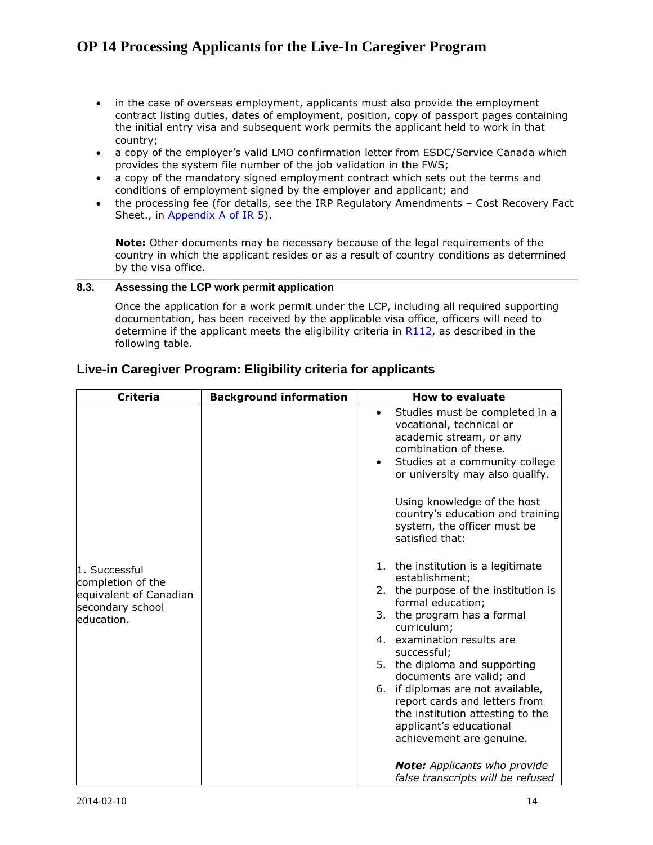- in the case of overseas employment, applicants must also provide the employment contract listing duties, dates of employment, position, copy of passport pages containing the initial entry visa and subsequent work permits the applicant held to work in that country;
- a copy of the employer's valid LMO confirmation letter from ESDC/Service Canada which provides the system file number of the job validation in the FWS;
- a copy of the mandatory signed employment contract which sets out the terms and conditions of employment signed by the employer and applicant; and
- the processing fee (for details, see the IRP Regulatory Amendments Cost Recovery Fact Sheet., in [Appendix](http://www.cic.gc.ca/english/resources/tools/fees/index.asp) A of IR 5).

**Note:** Other documents may be necessary because of the legal requirements of the country in which the applicant resides or as a result of country conditions as determined by the visa office.

### <span id="page-13-0"></span>**8.3. Assessing the LCP work permit application**

Once the application for a work permit under the LCP, including all required supporting documentation, has been received by the applicable visa office, officers will need to determine if the applicant meets the eligibility criteria in  $R112$ , as described in the following table.

| <b>Criteria</b>                                                                                | <b>Background information</b> | <b>How to evaluate</b>                                                                                                                                                                                                                                                                                                                                                                                                                                                                                |
|------------------------------------------------------------------------------------------------|-------------------------------|-------------------------------------------------------------------------------------------------------------------------------------------------------------------------------------------------------------------------------------------------------------------------------------------------------------------------------------------------------------------------------------------------------------------------------------------------------------------------------------------------------|
| 1. Successful<br>completion of the<br>equivalent of Canadian<br>secondary school<br>education. |                               | Studies must be completed in a<br>$\bullet$<br>vocational, technical or<br>academic stream, or any<br>combination of these.<br>Studies at a community college<br>$\bullet$<br>or university may also qualify.<br>Using knowledge of the host<br>country's education and training<br>system, the officer must be<br>satisfied that:<br>1. the institution is a legitimate<br>establishment;<br>2. the purpose of the institution is<br>formal education;<br>3. the program has a formal<br>curriculum; |
|                                                                                                |                               | 4. examination results are<br>successful;<br>5. the diploma and supporting<br>documents are valid; and<br>6. if diplomas are not available,<br>report cards and letters from<br>the institution attesting to the<br>applicant's educational<br>achievement are genuine.                                                                                                                                                                                                                               |
|                                                                                                |                               | <b>Note:</b> Applicants who provide<br>false transcripts will be refused                                                                                                                                                                                                                                                                                                                                                                                                                              |

### **Live-in Caregiver Program: Eligibility criteria for applicants**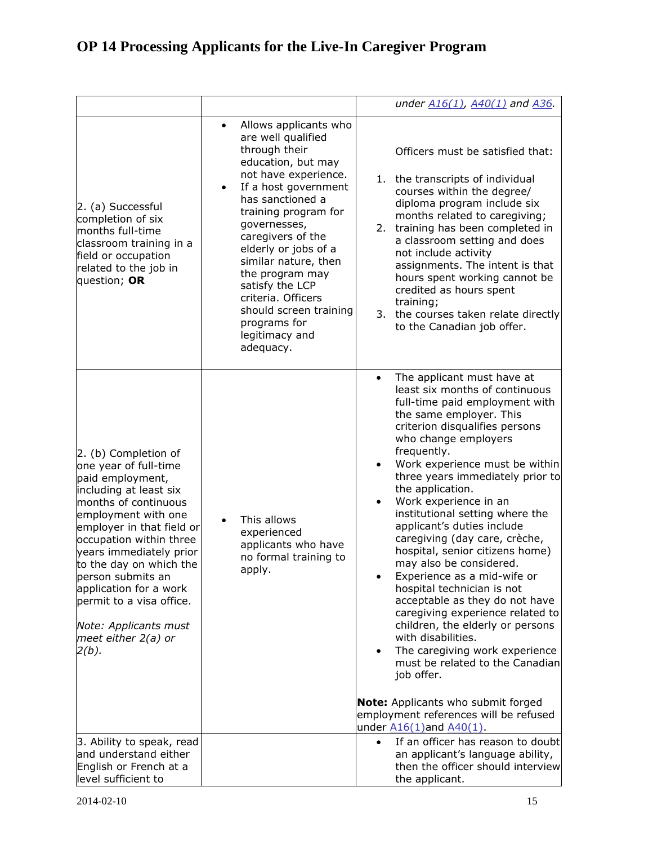|                                                                                                                                                                                                                                                                                                                                                                                                |                                                                                                                                                                                                                                                                                                                                                                                                          | under A16(1), A40(1) and A36.                                                                                                                                                                                                                                                                                                                                                                                                                                                                                                                                                                                                                                                                                                                                                                                                                                                                                                 |
|------------------------------------------------------------------------------------------------------------------------------------------------------------------------------------------------------------------------------------------------------------------------------------------------------------------------------------------------------------------------------------------------|----------------------------------------------------------------------------------------------------------------------------------------------------------------------------------------------------------------------------------------------------------------------------------------------------------------------------------------------------------------------------------------------------------|-------------------------------------------------------------------------------------------------------------------------------------------------------------------------------------------------------------------------------------------------------------------------------------------------------------------------------------------------------------------------------------------------------------------------------------------------------------------------------------------------------------------------------------------------------------------------------------------------------------------------------------------------------------------------------------------------------------------------------------------------------------------------------------------------------------------------------------------------------------------------------------------------------------------------------|
| 2. (a) Successful<br>completion of six<br>months full-time<br>classroom training in a<br>field or occupation<br>related to the job in<br>question; OR                                                                                                                                                                                                                                          | Allows applicants who<br>are well qualified<br>through their<br>education, but may<br>not have experience.<br>If a host government<br>has sanctioned a<br>training program for<br>governesses,<br>caregivers of the<br>elderly or jobs of a<br>similar nature, then<br>the program may<br>satisfy the LCP<br>criteria. Officers<br>should screen training<br>programs for<br>legitimacy and<br>adequacy. | Officers must be satisfied that:<br>1. the transcripts of individual<br>courses within the degree/<br>diploma program include six<br>months related to caregiving;<br>training has been completed in<br>2.<br>a classroom setting and does<br>not include activity<br>assignments. The intent is that<br>hours spent working cannot be<br>credited as hours spent<br>training;<br>3. the courses taken relate directly<br>to the Canadian job offer.                                                                                                                                                                                                                                                                                                                                                                                                                                                                          |
| 2. (b) Completion of<br>one year of full-time<br>paid employment,<br>including at least six<br>months of continuous<br>employment with one<br>employer in that field or<br>occupation within three<br>years immediately prior<br>to the day on which the<br>person submits an<br>application for a work<br>permit to a visa office.<br>Note: Applicants must<br>meet either $2(a)$ or<br>2(b). | This allows<br>experienced<br>applicants who have<br>no formal training to<br>apply.                                                                                                                                                                                                                                                                                                                     | The applicant must have at<br>$\bullet$<br>least six months of continuous<br>full-time paid employment with<br>the same employer. This<br>criterion disqualifies persons<br>who change employers<br>frequently.<br>Work experience must be within<br>three years immediately prior to<br>the application.<br>Work experience in an<br>$\bullet$<br>institutional setting where the<br>applicant's duties include<br>caregiving (day care, crèche,<br>hospital, senior citizens home)<br>may also be considered.<br>Experience as a mid-wife or<br>hospital technician is not<br>acceptable as they do not have<br>caregiving experience related to<br>children, the elderly or persons<br>with disabilities.<br>The caregiving work experience<br>$\bullet$<br>must be related to the Canadian<br>job offer.<br><b>Note:</b> Applicants who submit forged<br>employment references will be refused<br>under A16(1)and A40(1). |
| 3. Ability to speak, read<br>and understand either<br>English or French at a<br>level sufficient to                                                                                                                                                                                                                                                                                            |                                                                                                                                                                                                                                                                                                                                                                                                          | If an officer has reason to doubt<br>$\bullet$<br>an applicant's language ability,<br>then the officer should interview<br>the applicant.                                                                                                                                                                                                                                                                                                                                                                                                                                                                                                                                                                                                                                                                                                                                                                                     |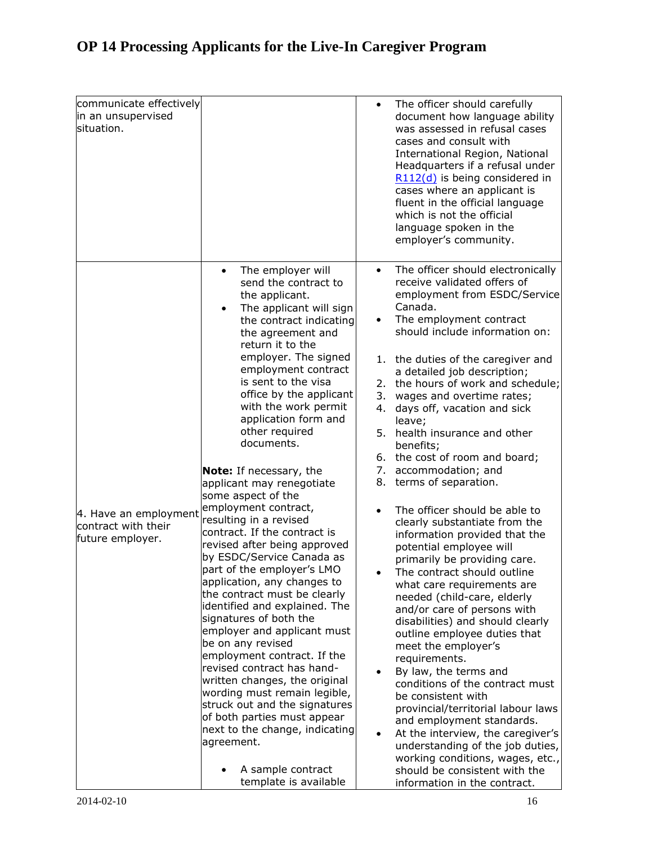| communicate effectively<br>in an unsupervised<br>situation.      |                                                                                                                                                                                                                                                                                                                                                                                                                                                                                                                                                                                                                                                                                                                                                                                                                                                                                                                                                                                                                                                                                                                   | $\bullet$                                                                 | The officer should carefully<br>document how language ability<br>was assessed in refusal cases<br>cases and consult with<br>International Region, National<br>Headquarters if a refusal under<br>R112(d) is being considered in<br>cases where an applicant is<br>fluent in the official language<br>which is not the official<br>language spoken in the<br>employer's community.                                                                                                                                                                                                                                                                                                                                                                                                                                                                                                                                                                                                                                                                                                                                                                                                                                                     |
|------------------------------------------------------------------|-------------------------------------------------------------------------------------------------------------------------------------------------------------------------------------------------------------------------------------------------------------------------------------------------------------------------------------------------------------------------------------------------------------------------------------------------------------------------------------------------------------------------------------------------------------------------------------------------------------------------------------------------------------------------------------------------------------------------------------------------------------------------------------------------------------------------------------------------------------------------------------------------------------------------------------------------------------------------------------------------------------------------------------------------------------------------------------------------------------------|---------------------------------------------------------------------------|---------------------------------------------------------------------------------------------------------------------------------------------------------------------------------------------------------------------------------------------------------------------------------------------------------------------------------------------------------------------------------------------------------------------------------------------------------------------------------------------------------------------------------------------------------------------------------------------------------------------------------------------------------------------------------------------------------------------------------------------------------------------------------------------------------------------------------------------------------------------------------------------------------------------------------------------------------------------------------------------------------------------------------------------------------------------------------------------------------------------------------------------------------------------------------------------------------------------------------------|
| 4. Have an employment<br>contract with their<br>future employer. | The employer will<br>$\bullet$<br>send the contract to<br>the applicant.<br>The applicant will sign<br>$\bullet$<br>the contract indicating<br>the agreement and<br>return it to the<br>employer. The signed<br>employment contract<br>is sent to the visa<br>office by the applicant<br>with the work permit<br>application form and<br>other required<br>documents.<br><b>Note:</b> If necessary, the<br>applicant may renegotiate<br>some aspect of the<br>employment contract,<br>resulting in a revised<br>contract. If the contract is<br>revised after being approved<br>by ESDC/Service Canada as<br>part of the employer's LMO<br>application, any changes to<br>the contract must be clearly<br>identified and explained. The<br>signatures of both the<br>employer and applicant must<br>be on any revised<br>employment contract. If the<br>revised contract has hand-<br>written changes, the original<br>wording must remain legible,<br>struck out and the signatures<br>of both parties must appear<br>next to the change, indicating<br>agreement.<br>A sample contract<br>template is available | $\bullet$<br>$\bullet$<br>4.<br>5.<br>$\bullet$<br>$\bullet$<br>$\bullet$ | The officer should electronically<br>receive validated offers of<br>employment from ESDC/Service<br>Canada.<br>The employment contract<br>should include information on:<br>1. the duties of the caregiver and<br>a detailed job description;<br>2. the hours of work and schedule;<br>3. wages and overtime rates;<br>days off, vacation and sick<br>leave;<br>health insurance and other<br>benefits;<br>6. the cost of room and board;<br>7. accommodation; and<br>8. terms of separation.<br>The officer should be able to<br>clearly substantiate from the<br>information provided that the<br>potential employee will<br>primarily be providing care.<br>The contract should outline<br>what care requirements are<br>needed (child-care, elderly<br>and/or care of persons with<br>disabilities) and should clearly<br>outline employee duties that<br>meet the employer's<br>requirements.<br>By law, the terms and<br>conditions of the contract must<br>be consistent with<br>provincial/territorial labour laws<br>and employment standards.<br>At the interview, the caregiver's<br>understanding of the job duties,<br>working conditions, wages, etc.,<br>should be consistent with the<br>information in the contract. |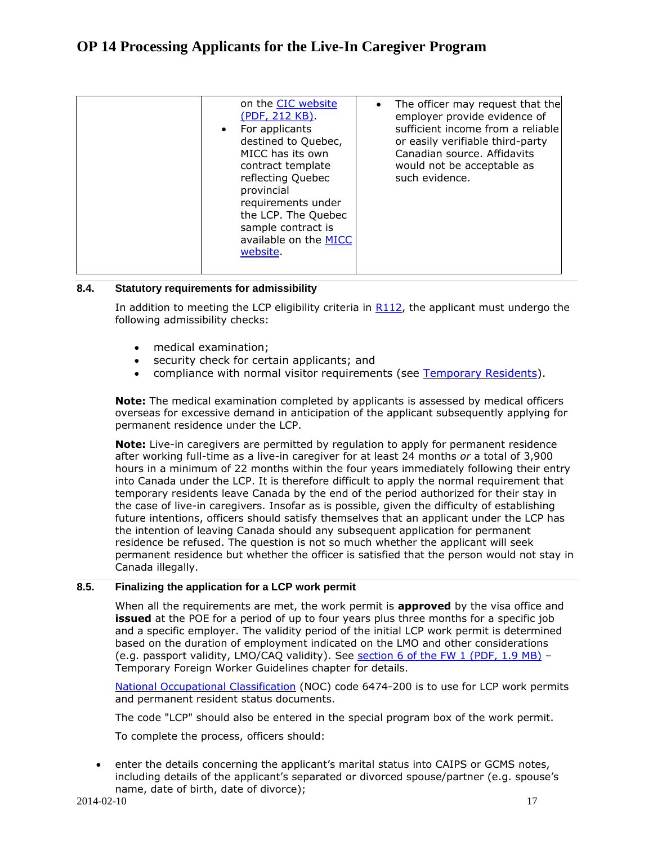| on the CIC website<br>(PDF, 212 KB).<br>For applicants<br>$\bullet$<br>destined to Quebec,<br>MICC has its own<br>contract template<br>reflecting Quebec<br>provincial<br>requirements under<br>the LCP. The Quebec<br>sample contract is<br>available on the MICC<br>website. | The officer may request that the<br>employer provide evidence of<br>sufficient income from a reliable<br>or easily verifiable third-party<br>Canadian source. Affidavits<br>would not be acceptable as<br>such evidence. |
|--------------------------------------------------------------------------------------------------------------------------------------------------------------------------------------------------------------------------------------------------------------------------------|--------------------------------------------------------------------------------------------------------------------------------------------------------------------------------------------------------------------------|
|--------------------------------------------------------------------------------------------------------------------------------------------------------------------------------------------------------------------------------------------------------------------------------|--------------------------------------------------------------------------------------------------------------------------------------------------------------------------------------------------------------------------|

### <span id="page-16-0"></span>**8.4. Statutory requirements for admissibility**

In addition to meeting the LCP eligibility criteria in  $R112$ , the applicant must undergo the following admissibility checks:

- medical examination;
- security check for certain applicants; and
- compliance with normal visitor requirements (see [Temporary Residents\)](http://www.cic.gc.ca/english/resources/tools/temp/index.asp).

**Note:** The medical examination completed by applicants is assessed by medical officers overseas for excessive demand in anticipation of the applicant subsequently applying for permanent residence under the LCP.

**Note:** Live-in caregivers are permitted by regulation to apply for permanent residence after working full-time as a live-in caregiver for at least 24 months *or* a total of 3,900 hours in a minimum of 22 months within the four years immediately following their entry into Canada under the LCP. It is therefore difficult to apply the normal requirement that temporary residents leave Canada by the end of the period authorized for their stay in the case of live-in caregivers. Insofar as is possible, given the difficulty of establishing future intentions, officers should satisfy themselves that an applicant under the LCP has the intention of leaving Canada should any subsequent application for permanent residence be refused. The question is not so much whether the applicant will seek permanent residence but whether the officer is satisfied that the person would not stay in Canada illegally.

### <span id="page-16-1"></span>**8.5. Finalizing the application for a LCP work permit**

When all the requirements are met, the work permit is **approved** by the visa office and **issued** at the POE for a period of up to four years plus three months for a specific job and a specific employer. The validity period of the initial LCP work permit is determined based on the duration of employment indicated on the LMO and other considerations (e.g. passport validity, LMO/CAQ validity). See section [6 of the FW](http://www.cic.gc.ca/english/resources/manuals/fw/fw01-eng.pdf) 1 (PDF, 1.9 MB) – Temporary Foreign Worker Guidelines chapter for details.

[National Occupational Classification](http://www5.hrsdc.gc.ca/NOC/) (NOC) code 6474-200 is to use for LCP work permits and permanent resident status documents.

The code "LCP" should also be entered in the special program box of the work permit.

To complete the process, officers should:

 enter the details concerning the applicant's marital status into CAIPS or GCMS notes, including details of the applicant's separated or divorced spouse/partner (e.g. spouse's name, date of birth, date of divorce);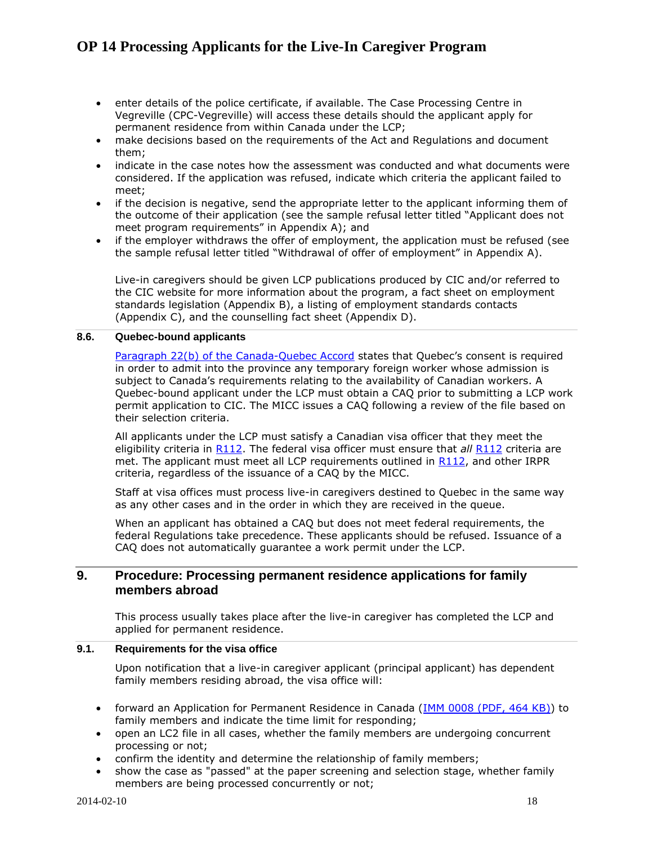- enter details of the police certificate, if available. The Case Processing Centre in Vegreville (CPC-Vegreville) will access these details should the applicant apply for permanent residence from within Canada under the LCP;
- make decisions based on the requirements of the Act and Regulations and document them;
- indicate in the case notes how the assessment was conducted and what documents were considered. If the application was refused, indicate which criteria the applicant failed to meet;
- if the decision is negative, send the appropriate letter to the applicant informing them of the outcome of their application (see the sample refusal letter titled "Applicant does not meet program requirements" in Appendix A); and
- if the employer withdraws the offer of employment, the application must be refused (see the sample refusal letter titled "Withdrawal of offer of employment" in Appendix A).

Live-in caregivers should be given LCP publications produced by CIC and/or referred to the CIC website for more information about the program, a fact sheet on employment standards legislation (Appendix B), a listing of employment standards contacts (Appendix C), and the counselling fact sheet (Appendix D).

#### <span id="page-17-0"></span>**8.6. Quebec-bound applicants**

[Paragraph 22\(b\) of the Canada-Quebec Accord](http://www2.parl.gc.ca/content/lop/researchpublications/bp252-e.htm) states that Quebec's consent is required in order to admit into the province any temporary foreign worker whose admission is subject to Canada's requirements relating to the availability of Canadian workers. A Quebec-bound applicant under the LCP must obtain a CAQ prior to submitting a LCP work permit application to CIC. The MICC issues a CAQ following a review of the file based on their selection criteria.

All applicants under the LCP must satisfy a Canadian visa officer that they meet the eligibility criteria in [R112.](http://laws-lois.justice.gc.ca/eng/regulations/SOR-2002-227/section-112.html) The federal visa officer must ensure that *all* [R112](http://laws-lois.justice.gc.ca/eng/regulations/SOR-2002-227/section-112.html) criteria are met. The applicant must meet all LCP requirements outlined in [R112,](http://laws-lois.justice.gc.ca/eng/regulations/SOR-2002-227/section-112.html) and other IRPR criteria, regardless of the issuance of a CAQ by the MICC.

Staff at visa offices must process live-in caregivers destined to Quebec in the same way as any other cases and in the order in which they are received in the queue.

When an applicant has obtained a CAQ but does not meet federal requirements, the federal Regulations take precedence. These applicants should be refused. Issuance of a CAQ does not automatically guarantee a work permit under the LCP.

### <span id="page-17-1"></span>**9. Procedure: Processing permanent residence applications for family members abroad**

This process usually takes place after the live-in caregiver has completed the LCP and applied for permanent residence.

#### <span id="page-17-2"></span>**9.1. Requirements for the visa office**

Upon notification that a live-in caregiver applicant (principal applicant) has dependent family members residing abroad, the visa office will:

- forward an Application for Permanent Residence in Canada (IMM [0008 \(PDF, 464](http://www.cic.gc.ca/english/pdf/kits/forms/IMM0008ENU_2D.pdf) KB)) to family members and indicate the time limit for responding;
- open an LC2 file in all cases, whether the family members are undergoing concurrent processing or not;
- confirm the identity and determine the relationship of family members;
- show the case as "passed" at the paper screening and selection stage, whether family members are being processed concurrently or not;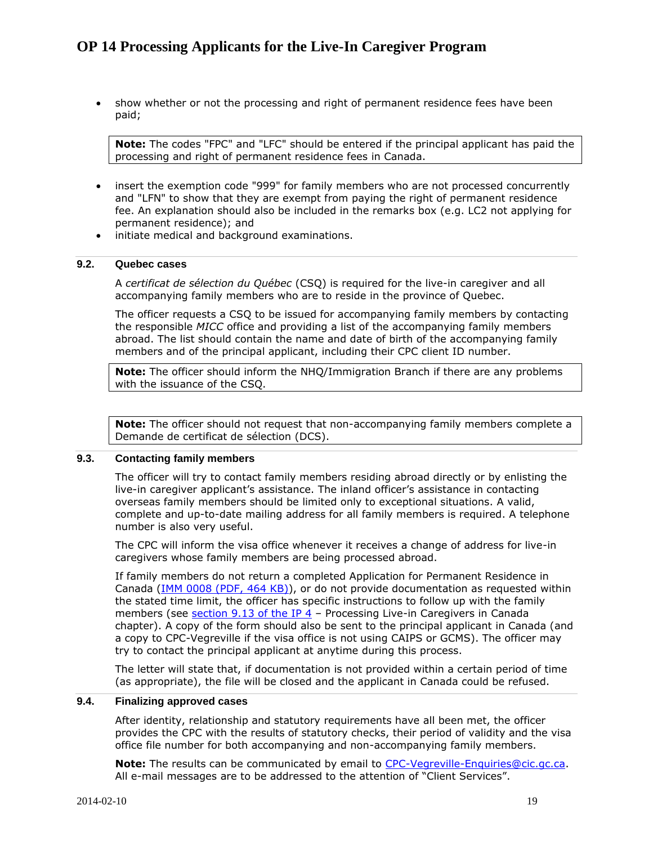show whether or not the processing and right of permanent residence fees have been paid;

**Note:** The codes "FPC" and "LFC" should be entered if the principal applicant has paid the processing and right of permanent residence fees in Canada.

- insert the exemption code "999" for family members who are not processed concurrently and "LFN" to show that they are exempt from paying the right of permanent residence fee. An explanation should also be included in the remarks box (e.g. LC2 not applying for permanent residence); and
- $\bullet$  initiate medical and background examinations.

### <span id="page-18-0"></span>**9.2. Quebec cases**

A *certificat de sélection du Québec* (CSQ) is required for the live-in caregiver and all accompanying family members who are to reside in the province of Quebec.

The officer requests a CSQ to be issued for accompanying family members by contacting the responsible *MICC* office and providing a list of the accompanying family members abroad. The list should contain the name and date of birth of the accompanying family members and of the principal applicant, including their CPC client ID number.

**Note:** The officer should inform the NHQ/Immigration Branch if there are any problems with the issuance of the CSQ.

**Note:** The officer should not request that non-accompanying family members complete a Demande de certificat de sélection (DCS).

### <span id="page-18-1"></span>**9.3. Contacting family members**

The officer will try to contact family members residing abroad directly or by enlisting the live-in caregiver applicant's assistance. The inland officer's assistance in contacting overseas family members should be limited only to exceptional situations. A valid, complete and up-to-date mailing address for all family members is required. A telephone number is also very useful.

The CPC will inform the visa office whenever it receives a change of address for live-in caregivers whose family members are being processed abroad.

If family members do not return a completed Application for Permanent Residence in Canada (IMM [0008 \(PDF, 464](http://www.cic.gc.ca/english/pdf/kits/forms/IMM0008ENU_2D.pdf) KB)), or do not provide documentation as requested within the stated time limit, the officer has specific instructions to follow up with the family members (see section  $9.13$  of the IP  $4$  – Processing Live-in Caregivers in Canada chapter). A copy of the form should also be sent to the principal applicant in Canada (and a copy to CPC-Vegreville if the visa office is not using CAIPS or GCMS). The officer may try to contact the principal applicant at anytime during this process.

The letter will state that, if documentation is not provided within a certain period of time (as appropriate), the file will be closed and the applicant in Canada could be refused.

#### <span id="page-18-2"></span>**9.4. Finalizing approved cases**

After identity, relationship and statutory requirements have all been met, the officer provides the CPC with the results of statutory checks, their period of validity and the visa office file number for both accompanying and non-accompanying family members.

**Note:** The results can be communicated by email to [CPC-Vegreville-Enquiries@cic.gc.ca.](mailto:CPC-Vegreville-Enquiries@cic.gc.ca) All e-mail messages are to be addressed to the attention of "Client Services".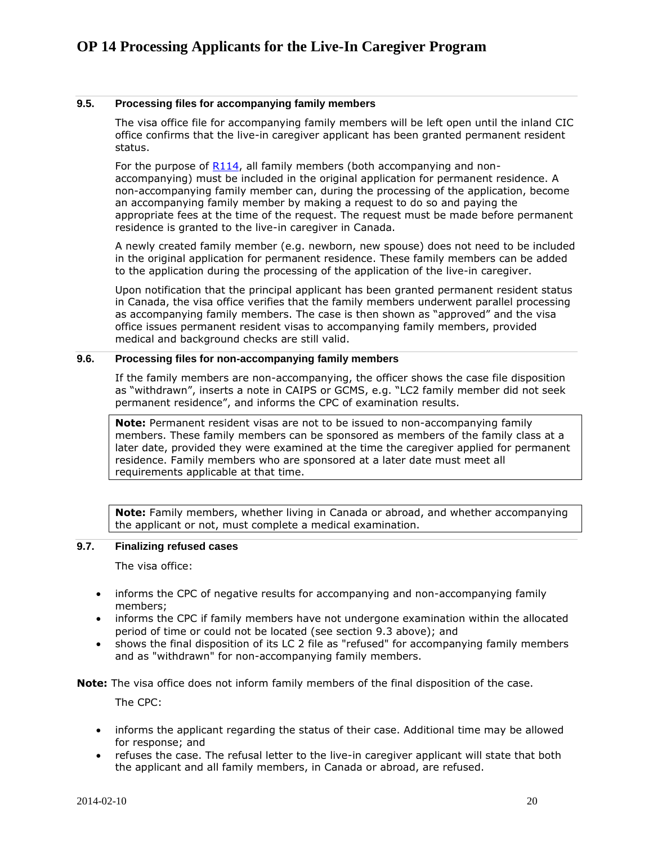### <span id="page-19-0"></span>**9.5. Processing files for accompanying family members**

The visa office file for accompanying family members will be left open until the inland CIC office confirms that the live-in caregiver applicant has been granted permanent resident status.

For the purpose of [R114,](http://laws-lois.justice.gc.ca/eng/regulations/SOR-2002-227/section-114.html) all family members (both accompanying and nonaccompanying) must be included in the original application for permanent residence. A non-accompanying family member can, during the processing of the application, become an accompanying family member by making a request to do so and paying the appropriate fees at the time of the request. The request must be made before permanent residence is granted to the live-in caregiver in Canada.

A newly created family member (e.g. newborn, new spouse) does not need to be included in the original application for permanent residence. These family members can be added to the application during the processing of the application of the live-in caregiver.

Upon notification that the principal applicant has been granted permanent resident status in Canada, the visa office verifies that the family members underwent parallel processing as accompanying family members. The case is then shown as "approved" and the visa office issues permanent resident visas to accompanying family members, provided medical and background checks are still valid.

### <span id="page-19-1"></span>**9.6. Processing files for non-accompanying family members**

If the family members are non-accompanying, the officer shows the case file disposition as "withdrawn", inserts a note in CAIPS or GCMS, e.g. "LC2 family member did not seek permanent residence", and informs the CPC of examination results.

**Note:** Permanent resident visas are not to be issued to non-accompanying family members. These family members can be sponsored as members of the family class at a later date, provided they were examined at the time the caregiver applied for permanent residence. Family members who are sponsored at a later date must meet all requirements applicable at that time.

**Note:** Family members, whether living in Canada or abroad, and whether accompanying the applicant or not, must complete a medical examination.

#### <span id="page-19-2"></span>**9.7. Finalizing refused cases**

The visa office:

- informs the CPC of negative results for accompanying and non-accompanying family members;
- informs the CPC if family members have not undergone examination within the allocated period of time or could not be located (see section 9.3 above); and
- shows the final disposition of its LC 2 file as "refused" for accompanying family members and as "withdrawn" for non-accompanying family members.

**Note:** The visa office does not inform family members of the final disposition of the case.

The CPC:

- informs the applicant regarding the status of their case. Additional time may be allowed for response; and
- refuses the case. The refusal letter to the live-in caregiver applicant will state that both the applicant and all family members, in Canada or abroad, are refused.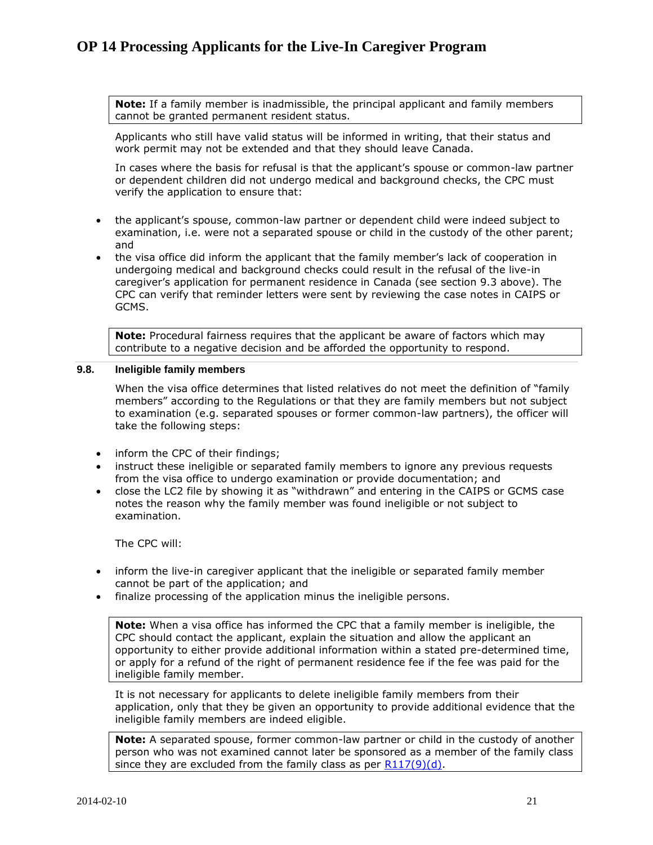**Note:** If a family member is inadmissible, the principal applicant and family members cannot be granted permanent resident status.

Applicants who still have valid status will be informed in writing, that their status and work permit may not be extended and that they should leave Canada.

In cases where the basis for refusal is that the applicant's spouse or common-law partner or dependent children did not undergo medical and background checks, the CPC must verify the application to ensure that:

- the applicant's spouse, common-law partner or dependent child were indeed subject to examination, i.e. were not a separated spouse or child in the custody of the other parent; and
- the visa office did inform the applicant that the family member's lack of cooperation in undergoing medical and background checks could result in the refusal of the live-in caregiver's application for permanent residence in Canada (see section 9.3 above). The CPC can verify that reminder letters were sent by reviewing the case notes in CAIPS or GCMS.

**Note:** Procedural fairness requires that the applicant be aware of factors which may contribute to a negative decision and be afforded the opportunity to respond.

### <span id="page-20-0"></span>**9.8. Ineligible family members**

When the visa office determines that listed relatives do not meet the definition of "family members" according to the Regulations or that they are family members but not subject to examination (e.g. separated spouses or former common-law partners), the officer will take the following steps:

- inform the CPC of their findings;
- instruct these ineligible or separated family members to ignore any previous requests from the visa office to undergo examination or provide documentation; and
- close the LC2 file by showing it as "withdrawn" and entering in the CAIPS or GCMS case notes the reason why the family member was found ineligible or not subject to examination.

The CPC will:

- inform the live-in caregiver applicant that the ineligible or separated family member cannot be part of the application; and
- finalize processing of the application minus the ineligible persons.

**Note:** When a visa office has informed the CPC that a family member is ineligible, the CPC should contact the applicant, explain the situation and allow the applicant an opportunity to either provide additional information within a stated pre-determined time, or apply for a refund of the right of permanent residence fee if the fee was paid for the ineligible family member.

It is not necessary for applicants to delete ineligible family members from their application, only that they be given an opportunity to provide additional evidence that the ineligible family members are indeed eligible.

**Note:** A separated spouse, former common-law partner or child in the custody of another person who was not examined cannot later be sponsored as a member of the family class since they are excluded from the family class as per  $R117(9)(d)$ .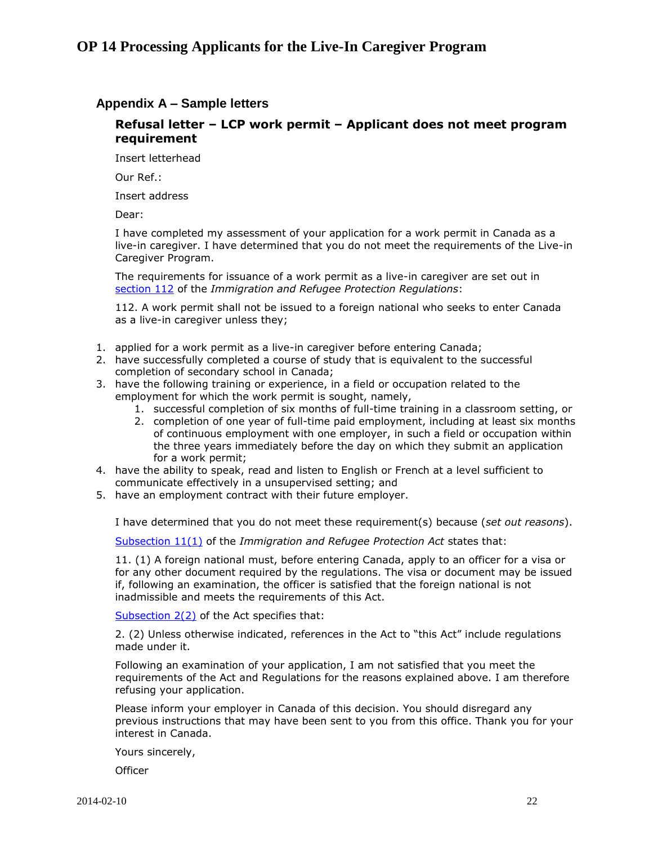### <span id="page-21-0"></span>**Appendix A – Sample letters**

### **Refusal letter – LCP work permit – Applicant does not meet program requirement**

Insert letterhead

Our Ref.:

Insert address

Dear:

I have completed my assessment of your application for a work permit in Canada as a live-in caregiver. I have determined that you do not meet the requirements of the Live-in Caregiver Program.

The requirements for issuance of a work permit as a live-in caregiver are set out in [section 112](http://laws-lois.justice.gc.ca/eng/regulations/SOR-2002-227/section-112.html) of the *Immigration and Refugee Protection Regulations*:

112. A work permit shall not be issued to a foreign national who seeks to enter Canada as a live-in caregiver unless they;

- 1. applied for a work permit as a live-in caregiver before entering Canada;
- 2. have successfully completed a course of study that is equivalent to the successful completion of secondary school in Canada;
- 3. have the following training or experience, in a field or occupation related to the employment for which the work permit is sought, namely,
	- 1. successful completion of six months of full-time training in a classroom setting, or
	- 2. completion of one year of full-time paid employment, including at least six months of continuous employment with one employer, in such a field or occupation within the three years immediately before the day on which they submit an application for a work permit;
- 4. have the ability to speak, read and listen to English or French at a level sufficient to communicate effectively in a unsupervised setting; and
- 5. have an employment contract with their future employer.

I have determined that you do not meet these requirement(s) because (*set out reasons*).

[Subsection 11\(1\)](http://laws-lois.justice.gc.ca/eng/regulations/SOR-2002-227/section-11.html) of the *Immigration and Refugee Protection Act* states that:

11. (1) A foreign national must, before entering Canada, apply to an officer for a visa or for any other document required by the regulations. The visa or document may be issued if, following an examination, the officer is satisfied that the foreign national is not inadmissible and meets the requirements of this Act.

[Subsection 2\(2\)](http://laws-lois.justice.gc.ca/eng/acts/I-2.5/page-1.html#h-2) of the Act specifies that:

2. (2) Unless otherwise indicated, references in the Act to "this Act" include regulations made under it.

Following an examination of your application, I am not satisfied that you meet the requirements of the Act and Regulations for the reasons explained above. I am therefore refusing your application.

Please inform your employer in Canada of this decision. You should disregard any previous instructions that may have been sent to you from this office. Thank you for your interest in Canada.

Yours sincerely,

**Officer**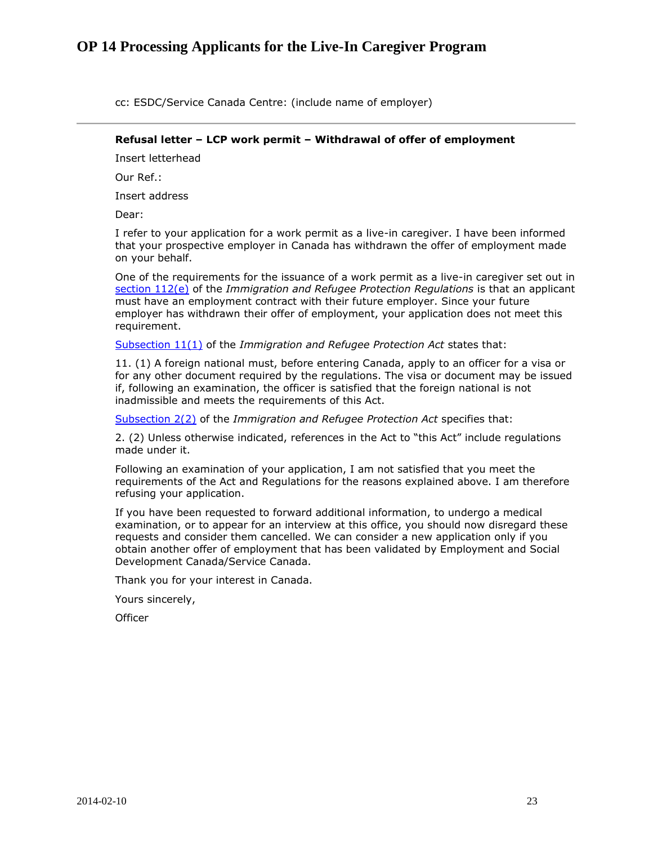cc: ESDC/Service Canada Centre: (include name of employer)

#### **Refusal letter – LCP work permit – Withdrawal of offer of employment**

Insert letterhead

Our Ref.:

Insert address

Dear:

I refer to your application for a work permit as a live-in caregiver. I have been informed that your prospective employer in Canada has withdrawn the offer of employment made on your behalf.

One of the requirements for the issuance of a work permit as a live-in caregiver set out in [section 112\(e\)](http://laws-lois.justice.gc.ca/eng/regulations/SOR-2002-227/section-112.html) of the *Immigration and Refugee Protection Regulations* is that an applicant must have an employment contract with their future employer. Since your future employer has withdrawn their offer of employment, your application does not meet this requirement.

[Subsection 11\(1\)](http://laws-lois.justice.gc.ca/eng/regulations/SOR-2002-227/section-11.html) of the *Immigration and Refugee Protection Act* states that:

11. (1) A foreign national must, before entering Canada, apply to an officer for a visa or for any other document required by the regulations. The visa or document may be issued if, following an examination, the officer is satisfied that the foreign national is not inadmissible and meets the requirements of this Act.

[Subsection 2\(2\)](http://laws-lois.justice.gc.ca/eng/regulations/SOR-2002-227/section-2.html) of the *Immigration and Refugee Protection Act* specifies that:

2. (2) Unless otherwise indicated, references in the Act to "this Act" include regulations made under it.

Following an examination of your application, I am not satisfied that you meet the requirements of the Act and Regulations for the reasons explained above. I am therefore refusing your application.

If you have been requested to forward additional information, to undergo a medical examination, or to appear for an interview at this office, you should now disregard these requests and consider them cancelled. We can consider a new application only if you obtain another offer of employment that has been validated by Employment and Social Development Canada/Service Canada.

Thank you for your interest in Canada.

Yours sincerely,

**Officer**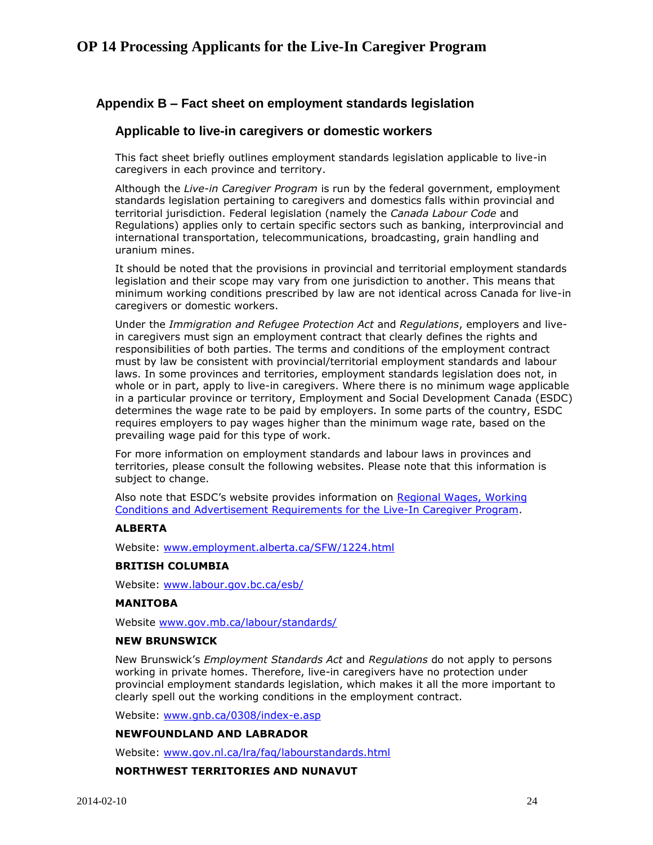### <span id="page-23-0"></span>**Appendix B – Fact sheet on employment standards legislation**

### **Applicable to live-in caregivers or domestic workers**

This fact sheet briefly outlines employment standards legislation applicable to live-in caregivers in each province and territory.

Although the *Live-in Caregiver Program* is run by the federal government, employment standards legislation pertaining to caregivers and domestics falls within provincial and territorial jurisdiction. Federal legislation (namely the *Canada Labour Code* and Regulations) applies only to certain specific sectors such as banking, interprovincial and international transportation, telecommunications, broadcasting, grain handling and uranium mines.

It should be noted that the provisions in provincial and territorial employment standards legislation and their scope may vary from one jurisdiction to another. This means that minimum working conditions prescribed by law are not identical across Canada for live-in caregivers or domestic workers.

Under the *Immigration and Refugee Protection Act* and *Regulations*, employers and livein caregivers must sign an employment contract that clearly defines the rights and responsibilities of both parties. The terms and conditions of the employment contract must by law be consistent with provincial/territorial employment standards and labour laws. In some provinces and territories, employment standards legislation does not, in whole or in part, apply to live-in caregivers. Where there is no minimum wage applicable in a particular province or territory, Employment and Social Development Canada (ESDC) determines the wage rate to be paid by employers. In some parts of the country, ESDC requires employers to pay wages higher than the minimum wage rate, based on the prevailing wage paid for this type of work.

For more information on employment standards and labour laws in provinces and territories, please consult the following websites. Please note that this information is subject to change.

Also note that ESDC's website provides information on [Regional Wages, Working](http://www.esdc.gc.ca/eng/jobs/foreign_workers/caregiver/index.shtml)  [Conditions and Advertisement Requirements for the Live-In Caregiver Program.](http://www.esdc.gc.ca/eng/jobs/foreign_workers/caregiver/index.shtml)

### **ALBERTA**

Website: [www.employment.alberta.ca/SFW/1224.html](http://www.employment.alberta.ca/SFW/1224.html)

### **BRITISH COLUMBIA**

Website: [www.labour.gov.bc.ca/esb/](http://www.labour.gov.bc.ca/esb/)

#### **MANITOBA**

Website [www.gov.mb.ca/labour/standards/](http://www.gov.mb.ca/labour/standards/)

#### **NEW BRUNSWICK**

New Brunswick's *Employment Standards Act* and *Regulations* do not apply to persons working in private homes. Therefore, live-in caregivers have no protection under provincial employment standards legislation, which makes it all the more important to clearly spell out the working conditions in the employment contract.

Website: [www.gnb.ca/0308/index-e.asp](http://www.gnb.ca/0308/index-e.asp)

### **NEWFOUNDLAND AND LABRADOR**

Website: [www.gov.nl.ca/lra/faq/labourstandards.html](http://www.gov.nl.ca/lra/faq/labourstandards.html)

### **NORTHWEST TERRITORIES AND NUNAVUT**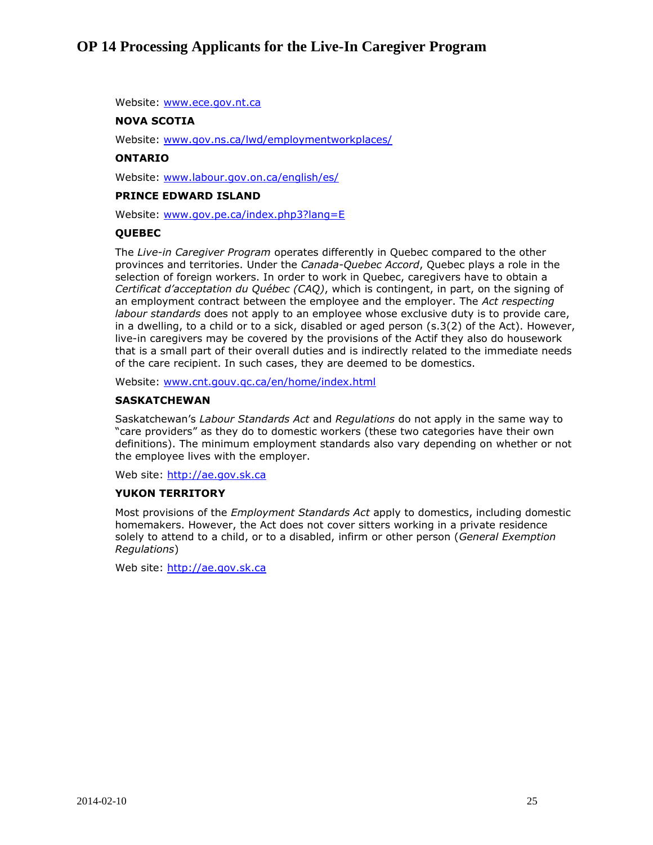Website: [www.ece.gov.nt.ca](http://www.ece.gov.nt.ca/)

### **NOVA SCOTIA**

Website: [www.gov.ns.ca/lwd/employmentworkplaces/](http://www.gov.ns.ca/lwd/employmentworkplaces/)

#### **ONTARIO**

Website: [www.labour.gov.on.ca/english/es/](http://www.labour.gov.on.ca/english/es/)

### **PRINCE EDWARD ISLAND**

Website: [www.gov.pe.ca/index.php3?lang=E](http://www.gov.pe.ca/index.php3?lang=E)

#### **QUEBEC**

The *Live-in Caregiver Program* operates differently in Quebec compared to the other provinces and territories. Under the *Canada-Quebec Accord*, Quebec plays a role in the selection of foreign workers. In order to work in Quebec, caregivers have to obtain a *Certificat d'acceptation du Québec (CAQ)*, which is contingent, in part, on the signing of an employment contract between the employee and the employer. The *Act respecting labour standards* does not apply to an employee whose exclusive duty is to provide care, in a dwelling, to a child or to a sick, disabled or aged person (s.3(2) of the Act). However, live-in caregivers may be covered by the provisions of the Actif they also do housework that is a small part of their overall duties and is indirectly related to the immediate needs of the care recipient. In such cases, they are deemed to be domestics.

Website: [www.cnt.gouv.qc.ca/en/home/index.html](http://www.cnt.gouv.qc.ca/en/home/index.html)

#### **SASKATCHEWAN**

Saskatchewan's *Labour Standards Act* and *Regulations* do not apply in the same way to "care providers" as they do to domestic workers (these two categories have their own definitions). The minimum employment standards also vary depending on whether or not the employee lives with the employer.

Web site: [http://ae.gov.sk.ca](http://ae.gov.sk.ca/)

### **YUKON TERRITORY**

Most provisions of the *Employment Standards Act* apply to domestics, including domestic homemakers. However, the Act does not cover sitters working in a private residence solely to attend to a child, or to a disabled, infirm or other person (*General Exemption Regulations*)

Web site: [http://ae.gov.sk.ca](http://ae.gov.sk.ca/)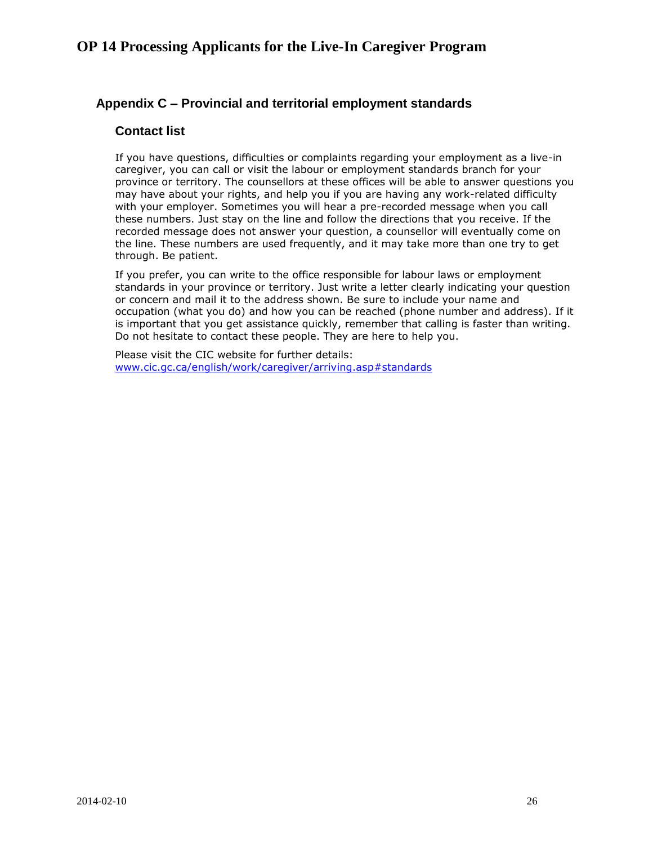### <span id="page-25-0"></span>**Appendix C – Provincial and territorial employment standards**

### **Contact list**

If you have questions, difficulties or complaints regarding your employment as a live-in caregiver, you can call or visit the labour or employment standards branch for your province or territory. The counsellors at these offices will be able to answer questions you may have about your rights, and help you if you are having any work-related difficulty with your employer. Sometimes you will hear a pre-recorded message when you call these numbers. Just stay on the line and follow the directions that you receive. If the recorded message does not answer your question, a counsellor will eventually come on the line. These numbers are used frequently, and it may take more than one try to get through. Be patient.

If you prefer, you can write to the office responsible for labour laws or employment standards in your province or territory. Just write a letter clearly indicating your question or concern and mail it to the address shown. Be sure to include your name and occupation (what you do) and how you can be reached (phone number and address). If it is important that you get assistance quickly, remember that calling is faster than writing. Do not hesitate to contact these people. They are here to help you.

Please visit the CIC website for further details: [www.cic.gc.ca/english/work/caregiver/arriving.asp#standards](http://www.cic.gc.ca/english/work/caregiver/arriving.asp#standards)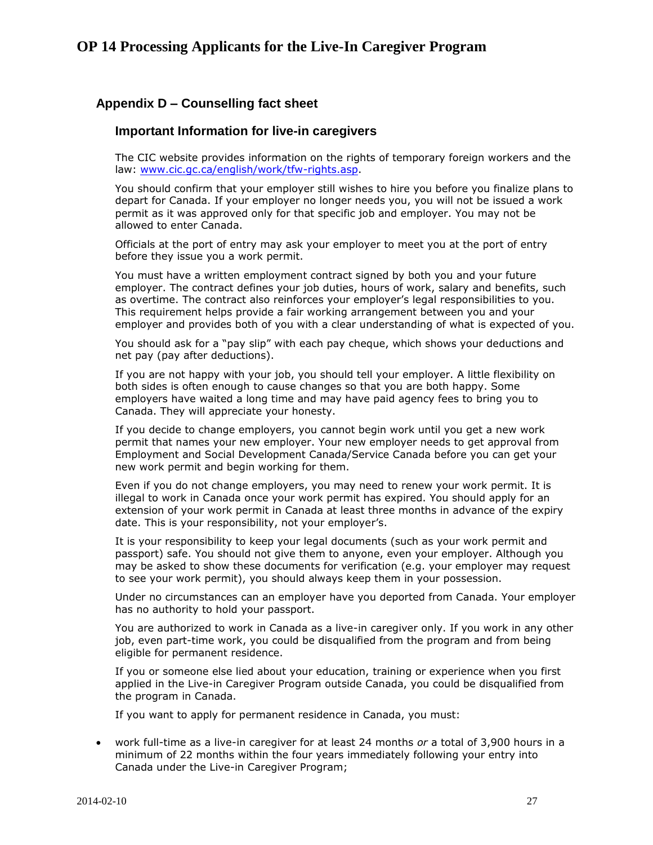### <span id="page-26-0"></span>**Appendix D – Counselling fact sheet**

### **Important Information for live-in caregivers**

The CIC website provides information on the rights of temporary foreign workers and the law: [www.cic.gc.ca/english/work/tfw-rights.asp.](http://www.cic.gc.ca/english/work/tfw-rights.asp)

You should confirm that your employer still wishes to hire you before you finalize plans to depart for Canada. If your employer no longer needs you, you will not be issued a work permit as it was approved only for that specific job and employer. You may not be allowed to enter Canada.

Officials at the port of entry may ask your employer to meet you at the port of entry before they issue you a work permit.

You must have a written employment contract signed by both you and your future employer. The contract defines your job duties, hours of work, salary and benefits, such as overtime. The contract also reinforces your employer's legal responsibilities to you. This requirement helps provide a fair working arrangement between you and your employer and provides both of you with a clear understanding of what is expected of you.

You should ask for a "pay slip" with each pay cheque, which shows your deductions and net pay (pay after deductions).

If you are not happy with your job, you should tell your employer. A little flexibility on both sides is often enough to cause changes so that you are both happy. Some employers have waited a long time and may have paid agency fees to bring you to Canada. They will appreciate your honesty.

If you decide to change employers, you cannot begin work until you get a new work permit that names your new employer. Your new employer needs to get approval from Employment and Social Development Canada/Service Canada before you can get your new work permit and begin working for them.

Even if you do not change employers, you may need to renew your work permit. It is illegal to work in Canada once your work permit has expired. You should apply for an extension of your work permit in Canada at least three months in advance of the expiry date. This is your responsibility, not your employer's.

It is your responsibility to keep your legal documents (such as your work permit and passport) safe. You should not give them to anyone, even your employer. Although you may be asked to show these documents for verification (e.g. your employer may request to see your work permit), you should always keep them in your possession.

Under no circumstances can an employer have you deported from Canada. Your employer has no authority to hold your passport.

You are authorized to work in Canada as a live-in caregiver only. If you work in any other job, even part-time work, you could be disqualified from the program and from being eligible for permanent residence.

If you or someone else lied about your education, training or experience when you first applied in the Live-in Caregiver Program outside Canada, you could be disqualified from the program in Canada.

If you want to apply for permanent residence in Canada, you must:

 work full-time as a live-in caregiver for at least 24 months *or* a total of 3,900 hours in a minimum of 22 months within the four years immediately following your entry into Canada under the Live-in Caregiver Program;